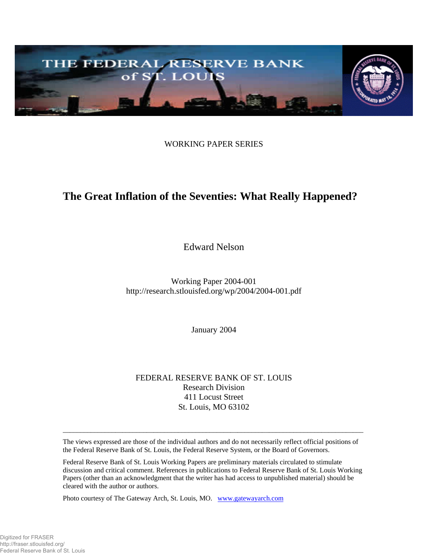

WORKING PAPER SERIES

# **The Great Inflation of the Seventies: What Really Happened?**

Edward Nelson

Working Paper 2004-001 http://research.stlouisfed.org/wp/2004/2004-001.pdf

January 2004

FEDERAL RESERVE BANK OF ST. LOUIS Research Division 411 Locust Street St. Louis, MO 63102

The views expressed are those of the individual authors and do not necessarily reflect official positions of the Federal Reserve Bank of St. Louis, the Federal Reserve System, or the Board of Governors.

 $\_$  ,  $\_$  ,  $\_$  ,  $\_$  ,  $\_$  ,  $\_$  ,  $\_$  ,  $\_$  ,  $\_$  ,  $\_$  ,  $\_$  ,  $\_$  ,  $\_$  ,  $\_$  ,  $\_$  ,  $\_$  ,  $\_$  ,  $\_$  ,  $\_$  ,  $\_$  ,  $\_$  ,  $\_$  ,  $\_$  ,  $\_$  ,  $\_$  ,  $\_$  ,  $\_$  ,  $\_$  ,  $\_$  ,  $\_$  ,  $\_$  ,  $\_$  ,  $\_$  ,  $\_$  ,  $\_$  ,  $\_$  ,  $\_$  ,

Federal Reserve Bank of St. Louis Working Papers are preliminary materials circulated to stimulate discussion and critical comment. References in publications to Federal Reserve Bank of St. Louis Working Papers (other than an acknowledgment that the writer has had access to unpublished material) should be cleared with the author or authors.

Photo courtesy of The Gateway Arch, St. Louis, MO. [www.gatewayarch.com](http://www.stlouisarch.com/)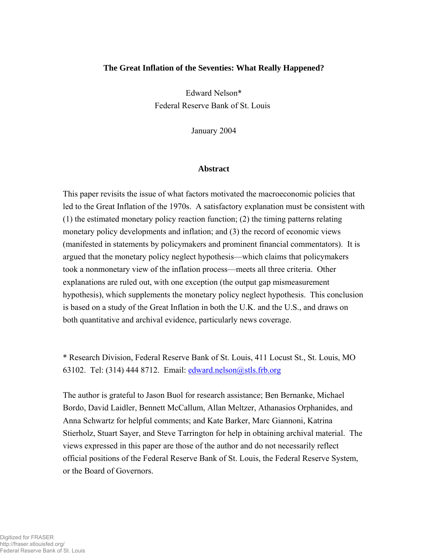#### **The Great Inflation of the Seventies: What Really Happened?**

 Edward Nelson\* Federal Reserve Bank of St. Louis

January 2004

#### **Abstract**

This paper revisits the issue of what factors motivated the macroeconomic policies that led to the Great Inflation of the 1970s. A satisfactory explanation must be consistent with (1) the estimated monetary policy reaction function; (2) the timing patterns relating monetary policy developments and inflation; and (3) the record of economic views (manifested in statements by policymakers and prominent financial commentators). It is argued that the monetary policy neglect hypothesis—which claims that policymakers took a nonmonetary view of the inflation process—meets all three criteria. Other explanations are ruled out, with one exception (the output gap mismeasurement hypothesis), which supplements the monetary policy neglect hypothesis. This conclusion is based on a study of the Great Inflation in both the U.K. and the U.S., and draws on both quantitative and archival evidence, particularly news coverage.

\* Research Division, Federal Reserve Bank of St. Louis, 411 Locust St., St. Louis, MO 63102. Tel: (314) 444 8712. Email:  $edward$  nelson $@$ stls.frb.org

The author is grateful to Jason Buol for research assistance; Ben Bernanke, Michael Bordo, David Laidler, Bennett McCallum, Allan Meltzer, Athanasios Orphanides, and Anna Schwartz for helpful comments; and Kate Barker, Marc Giannoni, Katrina Stierholz, Stuart Sayer, and Steve Tarrington for help in obtaining archival material. The views expressed in this paper are those of the author and do not necessarily reflect official positions of the Federal Reserve Bank of St. Louis, the Federal Reserve System, or the Board of Governors.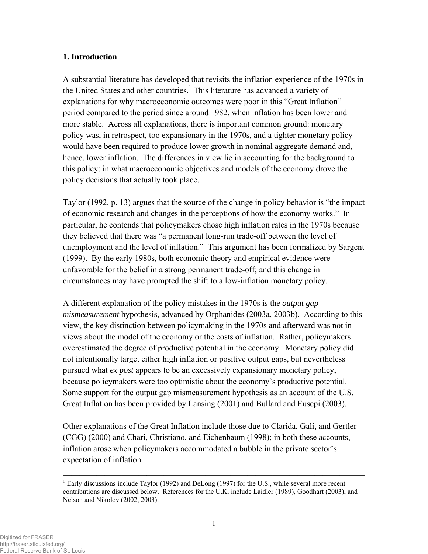# **1. Introduction**

A substantial literature has developed that revisits the inflation experience of the 1970s in the United States and other countries.<sup>1</sup> This literature has advanced a variety of explanations for why macroeconomic outcomes were poor in this "Great Inflation" period compared to the period since around 1982, when inflation has been lower and more stable. Across all explanations, there is important common ground: monetary policy was, in retrospect, too expansionary in the 1970s, and a tighter monetary policy would have been required to produce lower growth in nominal aggregate demand and, hence, lower inflation. The differences in view lie in accounting for the background to this policy: in what macroeconomic objectives and models of the economy drove the policy decisions that actually took place.

Taylor (1992, p. 13) argues that the source of the change in policy behavior is "the impact of economic research and changes in the perceptions of how the economy works." In particular, he contends that policymakers chose high inflation rates in the 1970s because they believed that there was "a permanent long-run trade-off between the level of unemployment and the level of inflation." This argument has been formalized by Sargent (1999). By the early 1980s, both economic theory and empirical evidence were unfavorable for the belief in a strong permanent trade-off; and this change in circumstances may have prompted the shift to a low-inflation monetary policy.

A different explanation of the policy mistakes in the 1970s is the *output gap mismeasurement* hypothesis, advanced by Orphanides (2003a, 2003b). According to this view, the key distinction between policymaking in the 1970s and afterward was not in views about the model of the economy or the costs of inflation. Rather, policymakers overestimated the degree of productive potential in the economy. Monetary policy did not intentionally target either high inflation or positive output gaps, but nevertheless pursued what *ex post* appears to be an excessively expansionary monetary policy, because policymakers were too optimistic about the economy's productive potential. Some support for the output gap mismeasurement hypothesis as an account of the U.S. Great Inflation has been provided by Lansing (2001) and Bullard and Eusepi (2003).

Other explanations of the Great Inflation include those due to Clarida, Galí, and Gertler (CGG) (2000) and Chari, Christiano, and Eichenbaum (1998); in both these accounts, inflation arose when policymakers accommodated a bubble in the private sector's expectation of inflation.

 $<sup>1</sup>$  Early discussions include Taylor (1992) and DeLong (1997) for the U.S., while several more recent</sup> contributions are discussed below. References for the U.K. include Laidler (1989), Goodhart (2003), and Nelson and Nikolov (2002, 2003).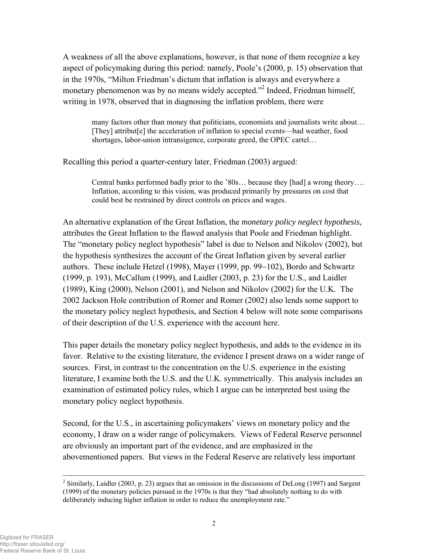A weakness of all the above explanations, however, is that none of them recognize a key aspect of policymaking during this period: namely, Poole's (2000, p. 15) observation that in the 1970s, "Milton Friedman's dictum that inflation is always and everywhere a monetary phenomenon was by no means widely accepted."<sup>2</sup> Indeed, Friedman himself, writing in 1978, observed that in diagnosing the inflation problem, there were

many factors other than money that politicians, economists and journalists write about… [They] attribut[e] the acceleration of inflation to special events—bad weather, food shortages, labor-union intransigence, corporate greed, the OPEC cartel…

Recalling this period a quarter-century later, Friedman (2003) argued:

Central banks performed badly prior to the '80s… because they [had] a wrong theory…. Inflation, according to this vision, was produced primarily by pressures on cost that could best be restrained by direct controls on prices and wages.

An alternative explanation of the Great Inflation, the *monetary policy neglect hypothesis*, attributes the Great Inflation to the flawed analysis that Poole and Friedman highlight. The "monetary policy neglect hypothesis" label is due to Nelson and Nikolov (2002), but the hypothesis synthesizes the account of the Great Inflation given by several earlier authors. These include Hetzel (1998), Mayer (1999, pp. 99−102), Bordo and Schwartz (1999, p. 193), McCallum (1999), and Laidler (2003, p. 23) for the U.S., and Laidler (1989), King (2000), Nelson (2001), and Nelson and Nikolov (2002) for the U.K. The 2002 Jackson Hole contribution of Romer and Romer (2002) also lends some support to the monetary policy neglect hypothesis, and Section 4 below will note some comparisons of their description of the U.S. experience with the account here.

This paper details the monetary policy neglect hypothesis, and adds to the evidence in its favor. Relative to the existing literature, the evidence I present draws on a wider range of sources. First, in contrast to the concentration on the U.S. experience in the existing literature, I examine both the U.S. and the U.K. symmetrically. This analysis includes an examination of estimated policy rules, which I argue can be interpreted best using the monetary policy neglect hypothesis.

Second, for the U.S., in ascertaining policymakers' views on monetary policy and the economy, I draw on a wider range of policymakers. Views of Federal Reserve personnel are obviously an important part of the evidence, and are emphasized in the abovementioned papers. But views in the Federal Reserve are relatively less important

<sup>&</sup>lt;sup>2</sup> Similarly, Laidler (2003, p. 23) argues that an omission in the discussions of DeLong (1997) and Sargent (1999) of the monetary policies pursued in the 1970s is that they "had absolutely nothing to do with deliberately inducing higher inflation in order to reduce the unemployment rate."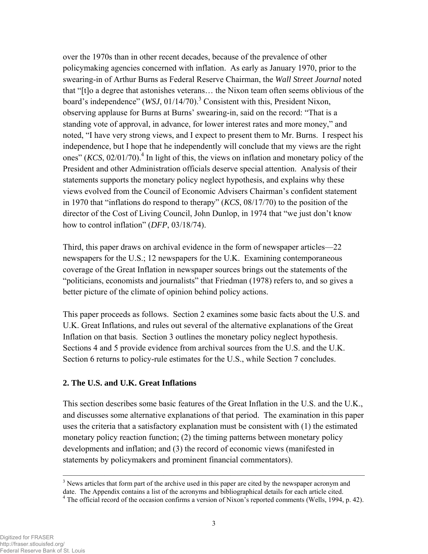over the 1970s than in other recent decades, because of the prevalence of other policymaking agencies concerned with inflation. As early as January 1970, prior to the swearing-in of Arthur Burns as Federal Reserve Chairman, the *Wall Street Journal* noted that "[t]o a degree that astonishes veterans… the Nixon team often seems oblivious of the board's independence" (*WSJ*, 01/14/70).<sup>3</sup> Consistent with this, President Nixon, observing applause for Burns at Burns' swearing-in, said on the record: "That is a standing vote of approval, in advance, for lower interest rates and more money," and noted, "I have very strong views, and I expect to present them to Mr. Burns. I respect his independence, but I hope that he independently will conclude that my views are the right ones"  $(KCS, 02/01/70)$ .<sup>4</sup> In light of this, the views on inflation and monetary policy of the President and other Administration officials deserve special attention. Analysis of their statements supports the monetary policy neglect hypothesis, and explains why these views evolved from the Council of Economic Advisers Chairman's confident statement in 1970 that "inflations do respond to therapy" (*KCS*, 08/17/70) to the position of the director of the Cost of Living Council, John Dunlop, in 1974 that "we just don't know how to control inflation" (*DFP*, 03/18/74).

Third, this paper draws on archival evidence in the form of newspaper articles—22 newspapers for the U.S.; 12 newspapers for the U.K. Examining contemporaneous coverage of the Great Inflation in newspaper sources brings out the statements of the "politicians, economists and journalists" that Friedman (1978) refers to, and so gives a better picture of the climate of opinion behind policy actions.

This paper proceeds as follows. Section 2 examines some basic facts about the U.S. and U.K. Great Inflations, and rules out several of the alternative explanations of the Great Inflation on that basis. Section 3 outlines the monetary policy neglect hypothesis. Sections 4 and 5 provide evidence from archival sources from the U.S. and the U.K. Section 6 returns to policy-rule estimates for the U.S., while Section 7 concludes.

#### **2. The U.S. and U.K. Great Inflations**

This section describes some basic features of the Great Inflation in the U.S. and the U.K., and discusses some alternative explanations of that period. The examination in this paper uses the criteria that a satisfactory explanation must be consistent with (1) the estimated monetary policy reaction function; (2) the timing patterns between monetary policy developments and inflation; and (3) the record of economic views (manifested in statements by policymakers and prominent financial commentators).

 $3$  News articles that form part of the archive used in this paper are cited by the newspaper acronym and date. The Appendix contains a list of the acronyms and bibliographical details for each article cited. 4

<sup>&</sup>lt;sup>4</sup> The official record of the occasion confirms a version of Nixon's reported comments (Wells, 1994, p. 42).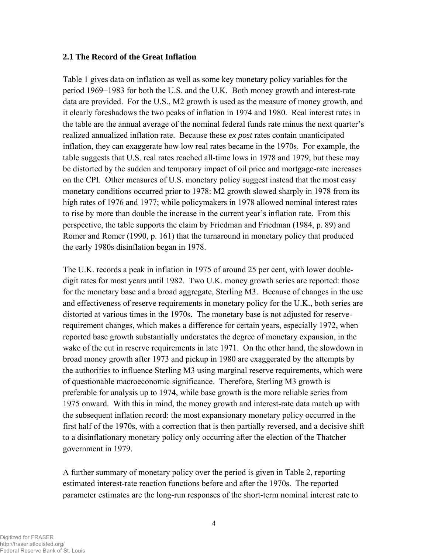### **2.1 The Record of the Great Inflation**

Table 1 gives data on inflation as well as some key monetary policy variables for the period 1969−1983 for both the U.S. and the U.K. Both money growth and interest-rate data are provided. For the U.S., M2 growth is used as the measure of money growth, and it clearly foreshadows the two peaks of inflation in 1974 and 1980. Real interest rates in the table are the annual average of the nominal federal funds rate minus the next quarter's realized annualized inflation rate. Because these *ex post* rates contain unanticipated inflation, they can exaggerate how low real rates became in the 1970s. For example, the table suggests that U.S. real rates reached all-time lows in 1978 and 1979, but these may be distorted by the sudden and temporary impact of oil price and mortgage-rate increases on the CPI. Other measures of U.S. monetary policy suggest instead that the most easy monetary conditions occurred prior to 1978: M2 growth slowed sharply in 1978 from its high rates of 1976 and 1977; while policymakers in 1978 allowed nominal interest rates to rise by more than double the increase in the current year's inflation rate. From this perspective, the table supports the claim by Friedman and Friedman (1984, p. 89) and Romer and Romer (1990, p. 161) that the turnaround in monetary policy that produced the early 1980s disinflation began in 1978.

The U.K. records a peak in inflation in 1975 of around 25 per cent, with lower doubledigit rates for most years until 1982. Two U.K. money growth series are reported: those for the monetary base and a broad aggregate, Sterling M3. Because of changes in the use and effectiveness of reserve requirements in monetary policy for the U.K., both series are distorted at various times in the 1970s. The monetary base is not adjusted for reserverequirement changes, which makes a difference for certain years, especially 1972, when reported base growth substantially understates the degree of monetary expansion, in the wake of the cut in reserve requirements in late 1971. On the other hand, the slowdown in broad money growth after 1973 and pickup in 1980 are exaggerated by the attempts by the authorities to influence Sterling M3 using marginal reserve requirements, which were of questionable macroeconomic significance. Therefore, Sterling M3 growth is preferable for analysis up to 1974, while base growth is the more reliable series from 1975 onward. With this in mind, the money growth and interest-rate data match up with the subsequent inflation record: the most expansionary monetary policy occurred in the first half of the 1970s, with a correction that is then partially reversed, and a decisive shift to a disinflationary monetary policy only occurring after the election of the Thatcher government in 1979.

A further summary of monetary policy over the period is given in Table 2, reporting estimated interest-rate reaction functions before and after the 1970s. The reported parameter estimates are the long-run responses of the short-term nominal interest rate to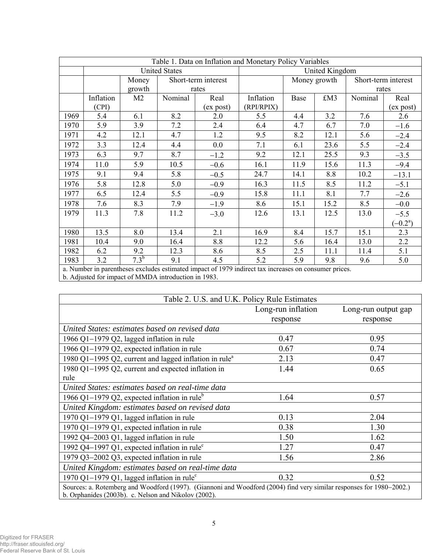| Table 1. Data on Inflation and Monetary Policy Variables |                                                                                                       |                |                     |           |                |              |      |                     |                     |
|----------------------------------------------------------|-------------------------------------------------------------------------------------------------------|----------------|---------------------|-----------|----------------|--------------|------|---------------------|---------------------|
|                                                          | <b>United States</b>                                                                                  |                |                     |           | United Kingdom |              |      |                     |                     |
|                                                          |                                                                                                       | Money          | Short-term interest |           |                | Money growth |      | Short-term interest |                     |
|                                                          |                                                                                                       | growth         | rates               |           |                |              |      | rates               |                     |
|                                                          | Inflation                                                                                             | M <sub>2</sub> | Nominal             | Real      | Inflation      | Base         | £M3  | Nominal             | Real                |
|                                                          | (CPI)                                                                                                 |                |                     | (ex post) | (RPI/RPIX)     |              |      |                     | (ex post)           |
| 1969                                                     | 5.4                                                                                                   | 6.1            | 8.2                 | 2.0       | 5.5            | 4.4          | 3.2  | 7.6                 | 2.6                 |
| 1970                                                     | 5.9                                                                                                   | 3.9            | 7.2                 | 2.4       | 6.4            | 4.7          | 6.7  | 7.0                 | $-1.6$              |
| 1971                                                     | 4.2                                                                                                   | 12.1           | 4.7                 | 1.2       | 9.5            | 8.2          | 12.1 | 5.6                 | $-2.4$              |
| 1972                                                     | 3.3                                                                                                   | 12.4           | 4.4                 | 0.0       | 7.1            | 6.1          | 23.6 | 5.5                 | $-2.4$              |
| 1973                                                     | 6.3                                                                                                   | 9.7            | 8.7                 | $-1.2$    | 9.2            | 12.1         | 25.5 | 9.3                 | $-3.5$              |
| 1974                                                     | 11.0                                                                                                  | 5.9            | 10.5                | $-0.6$    | 16.1           | 11.9         | 15.6 | 11.3                | $-9.4$              |
| 1975                                                     | 9.1                                                                                                   | 9.4            | 5.8                 | $-0.5$    | 24.7           | 14.1         | 8.8  | 10.2                | $-13.1$             |
| 1976                                                     | 5.8                                                                                                   | 12.8           | 5.0                 | $-0.9$    | 16.3           | 11.5         | 8.5  | 11.2                | $-5.1$              |
| 1977                                                     | 6.5                                                                                                   | 12.4           | 5.5                 | $-0.9$    | 15.8           | 11.1         | 8.1  | 7.7                 | $-2.6$              |
| 1978                                                     | 7.6                                                                                                   | 8.3            | 7.9                 | $-1.9$    | 8.6            | 15.1         | 15.2 | 8.5                 | $-0.0$              |
| 1979                                                     | 11.3                                                                                                  | 7.8            | 11.2                | $-3.0$    | 12.6           | 13.1         | 12.5 | 13.0                | $-5.5$              |
|                                                          |                                                                                                       |                |                     |           |                |              |      |                     | $(-0.2^{\text{a}})$ |
| 1980                                                     | 13.5                                                                                                  | 8.0            | 13.4                | 2.1       | 16.9           | 8.4          | 15.7 | 15.1                | 2.3                 |
| 1981                                                     | 10.4                                                                                                  | 9.0            | 16.4                | 8.8       | 12.2           | 5.6          | 16.4 | 13.0                | 2.2                 |
| 1982                                                     | 6.2                                                                                                   | 9.2            | 12.3                | 8.6       | 8.5            | 2.5          | 11.1 | 11.4                | 5.1                 |
| 1983                                                     | 3.2                                                                                                   | $7.3^{b}$      | 9.1                 | 4.5       | 5.2            | 5.9          | 9.8  | 9.6                 | 5.0                 |
|                                                          | a. Number in parentheses excludes estimated impact of 1979 indirect tax increases on consumer prices. |                |                     |           |                |              |      |                     |                     |

b. Adjusted for impact of MMDA introduction in 1983.

| Table 2. U.S. and U.K. Policy Rule Estimates                                                                                                                                 |                    |                     |  |  |
|------------------------------------------------------------------------------------------------------------------------------------------------------------------------------|--------------------|---------------------|--|--|
|                                                                                                                                                                              | Long-run inflation | Long-run output gap |  |  |
|                                                                                                                                                                              | response           | response            |  |  |
| United States: estimates based on revised data                                                                                                                               |                    |                     |  |  |
| 1966 Q1-1979 Q2, lagged inflation in rule                                                                                                                                    | 0.47               | 0.95                |  |  |
| 1966 Q1-1979 Q2, expected inflation in rule                                                                                                                                  | 0.67               | 0.74                |  |  |
| 1980 Q1-1995 Q2, current and lagged inflation in rule <sup>a</sup>                                                                                                           | 2.13               | 0.47                |  |  |
| 1980 Q1-1995 Q2, current and expected inflation in                                                                                                                           | 1.44               | 0.65                |  |  |
| rule                                                                                                                                                                         |                    |                     |  |  |
| United States: estimates based on real-time data                                                                                                                             |                    |                     |  |  |
| 1966 Q1-1979 Q2, expected inflation in rule <sup>b</sup>                                                                                                                     | 1.64               | 0.57                |  |  |
| United Kingdom: estimates based on revised data                                                                                                                              |                    |                     |  |  |
| 1970 Q1-1979 Q1, lagged inflation in rule                                                                                                                                    | 0.13               | 2.04                |  |  |
| 1970 Q1-1979 Q1, expected inflation in rule                                                                                                                                  | 0.38               | 1.30                |  |  |
| 1992 Q4-2003 Q1, lagged inflation in rule                                                                                                                                    | 1.50               | 1.62                |  |  |
| 1992 Q4-1997 Q1, expected inflation in rule <sup>c</sup>                                                                                                                     | 1.27               | 0.47                |  |  |
| 1979 Q3-2002 Q3, expected inflation in rule                                                                                                                                  | 1.56               | 2.86                |  |  |
| United Kingdom: estimates based on real-time data                                                                                                                            |                    |                     |  |  |
| 1970 Q1-1979 Q1, lagged inflation in rule <sup><math>c</math></sup>                                                                                                          | 0.32               | 0.52                |  |  |
| Sources: a. Rotemberg and Woodford (1997). (Giannoni and Woodford (2004) find very similar responses for 1980–2002.)<br>b. Orphanides (2003b). c. Nelson and Nikolov (2002). |                    |                     |  |  |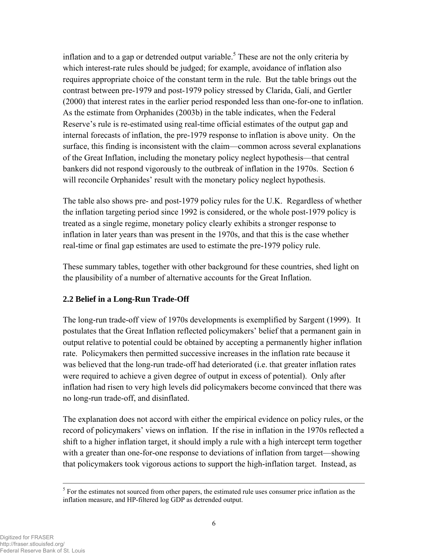inflation and to a gap or detrended output variable.<sup>5</sup> These are not the only criteria by which interest-rate rules should be judged; for example, avoidance of inflation also requires appropriate choice of the constant term in the rule. But the table brings out the contrast between pre-1979 and post-1979 policy stressed by Clarida, Galí, and Gertler (2000) that interest rates in the earlier period responded less than one-for-one to inflation. As the estimate from Orphanides (2003b) in the table indicates, when the Federal Reserve's rule is re-estimated using real-time official estimates of the output gap and internal forecasts of inflation, the pre-1979 response to inflation is above unity. On the surface, this finding is inconsistent with the claim—common across several explanations of the Great Inflation, including the monetary policy neglect hypothesis—that central bankers did not respond vigorously to the outbreak of inflation in the 1970s. Section 6 will reconcile Orphanides' result with the monetary policy neglect hypothesis.

The table also shows pre- and post-1979 policy rules for the U.K. Regardless of whether the inflation targeting period since 1992 is considered, or the whole post-1979 policy is treated as a single regime, monetary policy clearly exhibits a stronger response to inflation in later years than was present in the 1970s, and that this is the case whether real-time or final gap estimates are used to estimate the pre-1979 policy rule.

These summary tables, together with other background for these countries, shed light on the plausibility of a number of alternative accounts for the Great Inflation.

# **2.2 Belief in a Long-Run Trade-Off**

The long-run trade-off view of 1970s developments is exemplified by Sargent (1999). It postulates that the Great Inflation reflected policymakers' belief that a permanent gain in output relative to potential could be obtained by accepting a permanently higher inflation rate. Policymakers then permitted successive increases in the inflation rate because it was believed that the long-run trade-off had deteriorated (i.e. that greater inflation rates were required to achieve a given degree of output in excess of potential). Only after inflation had risen to very high levels did policymakers become convinced that there was no long-run trade-off, and disinflated.

The explanation does not accord with either the empirical evidence on policy rules, or the record of policymakers' views on inflation. If the rise in inflation in the 1970s reflected a shift to a higher inflation target, it should imply a rule with a high intercept term together with a greater than one-for-one response to deviations of inflation from target—showing that policymakers took vigorous actions to support the high-inflation target. Instead, as

 $<sup>5</sup>$  For the estimates not sourced from other papers, the estimated rule uses consumer price inflation as the</sup> inflation measure, and HP-filtered log GDP as detrended output.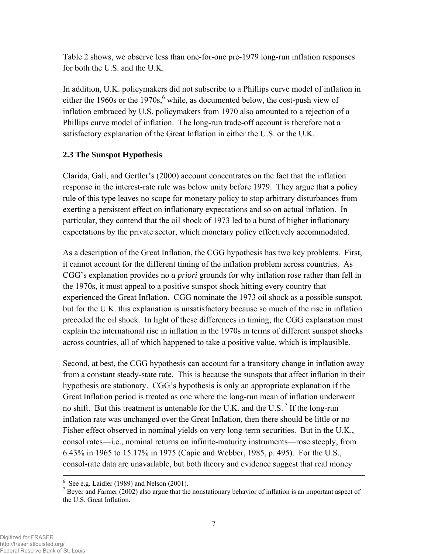Table 2 shows, we observe less than one-for-one pre-1979 long-run inflation responses for both the U.S. and the U.K.

In addition, U.K. policymakers did not subscribe to a Phillips curve model of inflation in either the 1960s or the 1970s,  $6$  while, as documented below, the cost-push view of inflation embraced by U.S. policymakers from 1970 also amounted to a rejection of a Phillips curve model of inflation. The long-run trade-off account is therefore not a satisfactory explanation of the Great Inflation in either the U.S. or the U.K.

# **2.3 The Sunspot Hypothesis**

Clarida, Galí, and Gertler's (2000) account concentrates on the fact that the inflation response in the interest-rate rule was below unity before 1979. They argue that a policy rule of this type leaves no scope for monetary policy to stop arbitrary disturbances from exerting a persistent effect on inflationary expectations and so on actual inflation. In particular, they contend that the oil shock of 1973 led to a burst of higher inflationary expectations by the private sector, which monetary policy effectively accommodated.

As a description of the Great Inflation, the CGG hypothesis has two key problems. First, it cannot account for the different timing of the inflation problem across countries. As CGG's explanation provides no *a priori* grounds for why inflation rose rather than fell in the 1970s, it must appeal to a positive sunspot shock hitting every country that experienced the Great Inflation. CGG nominate the 1973 oil shock as a possible sunspot, but for the U.K. this explanation is unsatisfactory because so much of the rise in inflation preceded the oil shock. In light of these differences in timing, the CGG explanation must explain the international rise in inflation in the 1970s in terms of different sunspot shocks across countries, all of which happened to take a positive value, which is implausible.

Second, at best, the CGG hypothesis can account for a transitory change in inflation away from a constant steady-state rate. This is because the sunspots that affect inflation in their hypothesis are stationary. CGG's hypothesis is only an appropriate explanation if the Great Inflation period is treated as one where the long-run mean of inflation underwent no shift. But this treatment is untenable for the U.K. and the U.S.  $\frac{7}{1}$  If the long-run inflation rate was unchanged over the Great Inflation, then there should be little or no Fisher effect observed in nominal yields on very long-term securities. But in the U.K., consol rates—i.e., nominal returns on infinite-maturity instruments—rose steeply, from 6.43% in 1965 to 15.17% in 1975 (Capie and Webber, 1985, p. 495). For the U.S., consol-rate data are unavailable, but both theory and evidence suggest that real money

<sup>————————————————————————————————————</sup>   $6$  See e.g. Laidler (1989) and Nelson (2001).

 $<sup>7</sup>$  Beyer and Farmer (2002) also argue that the nonstationary behavior of inflation is an important aspect of</sup> the U.S. Great Inflation.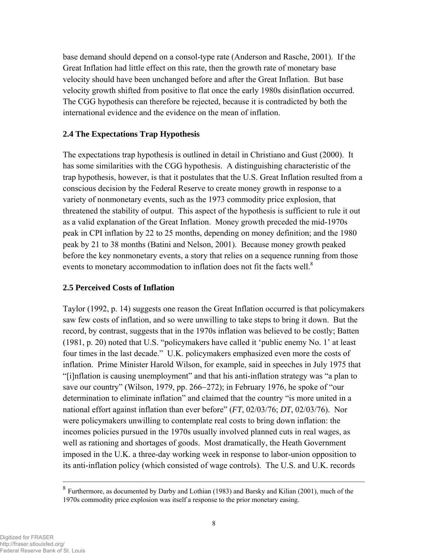base demand should depend on a consol-type rate (Anderson and Rasche, 2001). If the Great Inflation had little effect on this rate, then the growth rate of monetary base velocity should have been unchanged before and after the Great Inflation. But base velocity growth shifted from positive to flat once the early 1980s disinflation occurred. The CGG hypothesis can therefore be rejected, because it is contradicted by both the international evidence and the evidence on the mean of inflation.

### **2.4 The Expectations Trap Hypothesis**

The expectations trap hypothesis is outlined in detail in Christiano and Gust (2000). It has some similarities with the CGG hypothesis. A distinguishing characteristic of the trap hypothesis, however, is that it postulates that the U.S. Great Inflation resulted from a conscious decision by the Federal Reserve to create money growth in response to a variety of nonmonetary events, such as the 1973 commodity price explosion, that threatened the stability of output. This aspect of the hypothesis is sufficient to rule it out as a valid explanation of the Great Inflation. Money growth preceded the mid-1970s peak in CPI inflation by 22 to 25 months, depending on money definition; and the 1980 peak by 21 to 38 months (Batini and Nelson, 2001). Because money growth peaked before the key nonmonetary events, a story that relies on a sequence running from those events to monetary accommodation to inflation does not fit the facts well.<sup>8</sup>

#### **2.5 Perceived Costs of Inflation**

Taylor (1992, p. 14) suggests one reason the Great Inflation occurred is that policymakers saw few costs of inflation, and so were unwilling to take steps to bring it down. But the record, by contrast, suggests that in the 1970s inflation was believed to be costly; Batten (1981, p. 20) noted that U.S. "policymakers have called it 'public enemy No. 1' at least four times in the last decade." U.K. policymakers emphasized even more the costs of inflation. Prime Minister Harold Wilson, for example, said in speeches in July 1975 that "[i]nflation is causing unemployment" and that his anti-inflation strategy was "a plan to save our country" (Wilson, 1979, pp. 266−272); in February 1976, he spoke of "our determination to eliminate inflation" and claimed that the country "is more united in a national effort against inflation than ever before" (*FT*, 02/03/76; *DT*, 02/03/76). Nor were policymakers unwilling to contemplate real costs to bring down inflation: the incomes policies pursued in the 1970s usually involved planned cuts in real wages, as well as rationing and shortages of goods. Most dramatically, the Heath Government imposed in the U.K. a three-day working week in response to labor-union opposition to its anti-inflation policy (which consisted of wage controls). The U.S. and U.K. records

<sup>&</sup>lt;sup>8</sup> Furthermore, as documented by Darby and Lothian (1983) and Barsky and Kilian (2001), much of the 1970s commodity price explosion was itself a response to the prior monetary easing.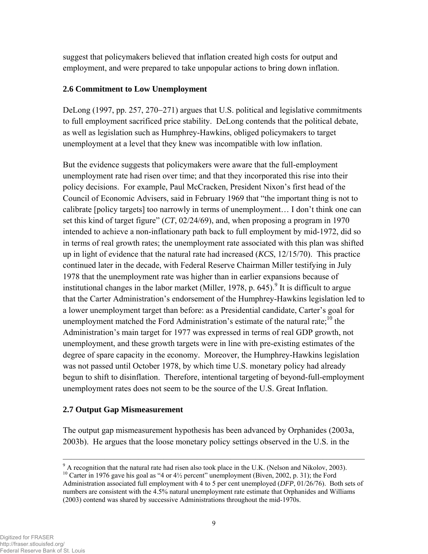suggest that policymakers believed that inflation created high costs for output and employment, and were prepared to take unpopular actions to bring down inflation.

# **2.6 Commitment to Low Unemployment**

DeLong (1997, pp. 257, 270–271) argues that U.S. political and legislative commitments to full employment sacrificed price stability. DeLong contends that the political debate, as well as legislation such as Humphrey-Hawkins, obliged policymakers to target unemployment at a level that they knew was incompatible with low inflation.

But the evidence suggests that policymakers were aware that the full-employment unemployment rate had risen over time; and that they incorporated this rise into their policy decisions. For example, Paul McCracken, President Nixon's first head of the Council of Economic Advisers, said in February 1969 that "the important thing is not to calibrate [policy targets] too narrowly in terms of unemployment… I don't think one can set this kind of target figure" (*CT*, 02/24/69), and, when proposing a program in 1970 intended to achieve a non-inflationary path back to full employment by mid-1972, did so in terms of real growth rates; the unemployment rate associated with this plan was shifted up in light of evidence that the natural rate had increased (*KCS*, 12/15/70). This practice continued later in the decade, with Federal Reserve Chairman Miller testifying in July 1978 that the unemployment rate was higher than in earlier expansions because of institutional changes in the labor market (Miller, 1978, p. 645).<sup>9</sup> It is difficult to argue that the Carter Administration's endorsement of the Humphrey-Hawkins legislation led to a lower unemployment target than before: as a Presidential candidate, Carter's goal for unemployment matched the Ford Administration's estimate of the natural rate;<sup>10</sup> the Administration's main target for 1977 was expressed in terms of real GDP growth, not unemployment, and these growth targets were in line with pre-existing estimates of the degree of spare capacity in the economy. Moreover, the Humphrey-Hawkins legislation was not passed until October 1978, by which time U.S. monetary policy had already begun to shift to disinflation. Therefore, intentional targeting of beyond-full-employment unemployment rates does not seem to be the source of the U.S. Great Inflation.

# **2.7 Output Gap Mismeasurement**

The output gap mismeasurement hypothesis has been advanced by Orphanides (2003a, 2003b). He argues that the loose monetary policy settings observed in the U.S. in the

 $9^9$  A recognition that the natural rate had risen also took place in the U.K. (Nelson and Nikolov, 2003).

<sup>&</sup>lt;sup>10</sup> Carter in 1976 gave his goal as "4 or  $4\frac{1}{2}$  percent" unemployment (Biven, 2002, p. 31); the Ford Administration associated full employment with 4 to 5 per cent unemployed (*DFP*, 01/26/76). Both sets of numbers are consistent with the 4.5% natural unemployment rate estimate that Orphanides and Williams (2003) contend was shared by successive Administrations throughout the mid-1970s.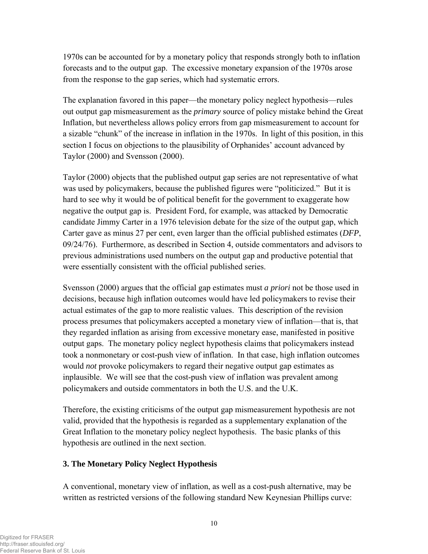1970s can be accounted for by a monetary policy that responds strongly both to inflation forecasts and to the output gap. The excessive monetary expansion of the 1970s arose from the response to the gap series, which had systematic errors.

The explanation favored in this paper—the monetary policy neglect hypothesis—rules out output gap mismeasurement as the *primary* source of policy mistake behind the Great Inflation, but nevertheless allows policy errors from gap mismeasurement to account for a sizable "chunk" of the increase in inflation in the 1970s. In light of this position, in this section I focus on objections to the plausibility of Orphanides' account advanced by Taylor (2000) and Svensson (2000).

Taylor (2000) objects that the published output gap series are not representative of what was used by policymakers, because the published figures were "politicized." But it is hard to see why it would be of political benefit for the government to exaggerate how negative the output gap is. President Ford, for example, was attacked by Democratic candidate Jimmy Carter in a 1976 television debate for the size of the output gap, which Carter gave as minus 27 per cent, even larger than the official published estimates (*DFP*, 09/24/76). Furthermore, as described in Section 4, outside commentators and advisors to previous administrations used numbers on the output gap and productive potential that were essentially consistent with the official published series.

Svensson (2000) argues that the official gap estimates must *a priori* not be those used in decisions, because high inflation outcomes would have led policymakers to revise their actual estimates of the gap to more realistic values. This description of the revision process presumes that policymakers accepted a monetary view of inflation—that is, that they regarded inflation as arising from excessive monetary ease, manifested in positive output gaps. The monetary policy neglect hypothesis claims that policymakers instead took a nonmonetary or cost-push view of inflation. In that case, high inflation outcomes would *not* provoke policymakers to regard their negative output gap estimates as inplausible. We will see that the cost-push view of inflation was prevalent among policymakers and outside commentators in both the U.S. and the U.K.

Therefore, the existing criticisms of the output gap mismeasurement hypothesis are not valid, provided that the hypothesis is regarded as a supplementary explanation of the Great Inflation to the monetary policy neglect hypothesis. The basic planks of this hypothesis are outlined in the next section.

# **3. The Monetary Policy Neglect Hypothesis**

A conventional, monetary view of inflation, as well as a cost-push alternative, may be written as restricted versions of the following standard New Keynesian Phillips curve: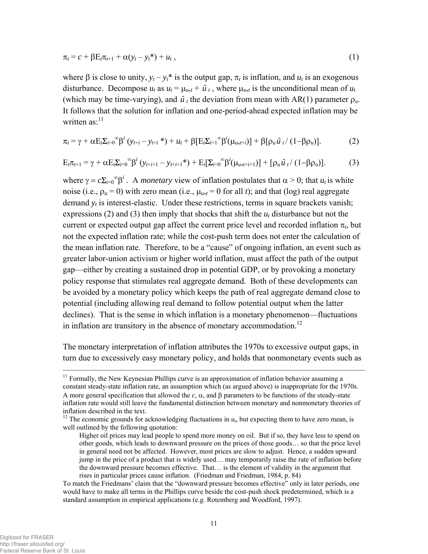$$
\pi_t = c + \beta E_t \pi_{t+1} + \alpha (y_t - y_t^*) + u_t, \qquad (1)
$$

where  $\beta$  is close to unity,  $y_t - y_t^*$  is the output gap,  $\pi_t$  is inflation, and  $u_t$  is an exogenous disturbance. Decompose  $u_t$  as  $u_t = \mu_{u,t} + \hat{u}_t$ , where  $\mu_{u,t}$  is the unconditional mean of  $u_t$ (which may be time-varying), and  $\hat{u}$ <sub>t</sub> the deviation from mean with AR(1) parameter  $\rho_u$ . It follows that the solution for inflation and one-period-ahead expected inflation may be written  $\text{as}$ <sup>11</sup>

$$
\pi_t = \gamma + \alpha E_t \Sigma_{i=0}^{\infty} \beta^i \left( y_{t+i} - y_{t+i} \right) + u_t + \beta \left[ E_t \Sigma_{i=1}^{\infty} \beta^i (\mu_{u,t+i}) \right] + \beta \left[ \rho_u \hat{u}_t / (1 - \beta \rho_u) \right]. \tag{2}
$$

$$
E_{t}\pi_{t+1} = \gamma + \alpha E_{t}\Sigma_{i=0}^{\infty} \beta^{i} \left( y_{t+i+1} - y_{t+i+1}^{*} \right) + E_{t}[\Sigma_{i=0}^{\infty} \beta^{i} (\mu_{u,t+i+1})] + [\rho_{u} \hat{u}_{t} / (1 - \beta \rho_{u})].
$$
 (3)

where  $\gamma = c \Sigma_{i=0}^{\infty} \beta^i$ . A *monetary* view of inflation postulates that  $\alpha > 0$ ; that  $u_t$  is white noise (i.e.,  $\rho_u = 0$ ) with zero mean (i.e.,  $\mu_{u,t} = 0$  for all *t*); and that (log) real aggregate demand  $y_t$  is interest-elastic. Under these restrictions, terms in square brackets vanish; expressions (2) and (3) then imply that shocks that shift the  $u_t$  disturbance but not the current or expected output gap affect the current price level and recorded inflation  $\pi_t$ , but not the expected inflation rate; while the cost-push term does not enter the calculation of the mean inflation rate. Therefore, to be a "cause" of ongoing inflation, an event such as greater labor-union activism or higher world inflation, must affect the path of the output gap—either by creating a sustained drop in potential GDP, or by provoking a monetary policy response that stimulates real aggregate demand. Both of these developments can be avoided by a monetary policy which keeps the path of real aggregate demand close to potential (including allowing real demand to follow potential output when the latter declines). That is the sense in which inflation is a monetary phenomenon—fluctuations in inflation are transitory in the absence of monetary accommodation.<sup>12</sup>

The monetary interpretation of inflation attributes the 1970s to excessive output gaps, in turn due to excessively easy monetary policy, and holds that nonmonetary events such as

<sup>&</sup>lt;sup>11</sup> Formally, the New Keynesian Phillips curve is an approximation of inflation behavior assuming a constant steady-state inflation rate, an assumption which (as argued above) is inappropriate for the 1970s. A more general specification that allowed the  $c, \alpha$ , and  $\beta$  parameters to be functions of the steady-state inflation rate would still leave the fundamental distinction between monetary and nonmonetary theories of inflation described in the text.

<sup>&</sup>lt;sup>12</sup> The economic grounds for acknowledging fluctuations in  $u_t$ , but expecting them to have zero mean, is well outlined by the following quotation:

Higher oil prices may lead people to spend more money on oil. But if so, they have less to spend on other goods, which leads to downward pressure on the prices of those goods… so that the price level in general need not be affected. However, most prices are slow to adjust. Hence, a sudden upward jump in the price of a product that is widely used… may temporarily raise the rate of inflation before the downward pressure becomes effective. That… is the element of validity in the argument that rises in particular prices cause inflation. (Friedman and Friedman, 1984, p. 84)

To match the Friedmans' claim that the "downward pressure becomes effective" only in later periods, one would have to make all terms in the Phillips curve beside the cost-push shock predetermined, which is a standard assumption in empirical applications (e.g. Rotemberg and Woodford, 1997).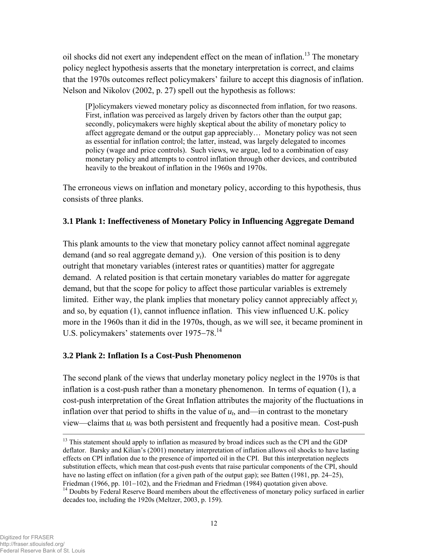oil shocks did not exert any independent effect on the mean of inflation.<sup>13</sup> The monetary policy neglect hypothesis asserts that the monetary interpretation is correct, and claims that the 1970s outcomes reflect policymakers' failure to accept this diagnosis of inflation. Nelson and Nikolov (2002, p. 27) spell out the hypothesis as follows:

[P]olicymakers viewed monetary policy as disconnected from inflation, for two reasons. First, inflation was perceived as largely driven by factors other than the output gap; secondly, policymakers were highly skeptical about the ability of monetary policy to affect aggregate demand or the output gap appreciably… Monetary policy was not seen as essential for inflation control; the latter, instead, was largely delegated to incomes policy (wage and price controls). Such views, we argue, led to a combination of easy monetary policy and attempts to control inflation through other devices, and contributed heavily to the breakout of inflation in the 1960s and 1970s.

The erroneous views on inflation and monetary policy, according to this hypothesis, thus consists of three planks.

### **3.1 Plank 1: Ineffectiveness of Monetary Policy in Influencing Aggregate Demand**

This plank amounts to the view that monetary policy cannot affect nominal aggregate demand (and so real aggregate demand  $y_t$ ). One version of this position is to deny outright that monetary variables (interest rates or quantities) matter for aggregate demand. A related position is that certain monetary variables do matter for aggregate demand, but that the scope for policy to affect those particular variables is extremely limited. Either way, the plank implies that monetary policy cannot appreciably affect  $y_t$ and so, by equation (1), cannot influence inflation. This view influenced U.K. policy more in the 1960s than it did in the 1970s, though, as we will see, it became prominent in U.S. policymakers' statements over 1975−78.<sup>14</sup>

#### **3.2 Plank 2: Inflation Is a Cost-Push Phenomenon**

The second plank of the views that underlay monetary policy neglect in the 1970s is that inflation is a cost-push rather than a monetary phenomenon. In terms of equation (1), a cost-push interpretation of the Great Inflation attributes the majority of the fluctuations in inflation over that period to shifts in the value of  $u_t$ , and—in contrast to the monetary view—claims that *ut* was both persistent and frequently had a positive mean. Cost-push

<sup>&</sup>lt;sup>13</sup> This statement should apply to inflation as measured by broad indices such as the CPI and the GDP deflator. Barsky and Kilian's (2001) monetary interpretation of inflation allows oil shocks to have lasting effects on CPI inflation due to the presence of imported oil in the CPI. But this interpretation neglects substitution effects, which mean that cost-push events that raise particular components of the CPI, should have no lasting effect on inflation (for a given path of the output gap); see Batten (1981, pp. 24−25),

Friedman (1966, pp. 101−102), and the Friedman and Friedman (1984) quotation given above.<br><sup>14</sup> Doubts by Federal Reserve Board members about the effectiveness of monetary policy surfaced in earlier decades too, including the 1920s (Meltzer, 2003, p. 159).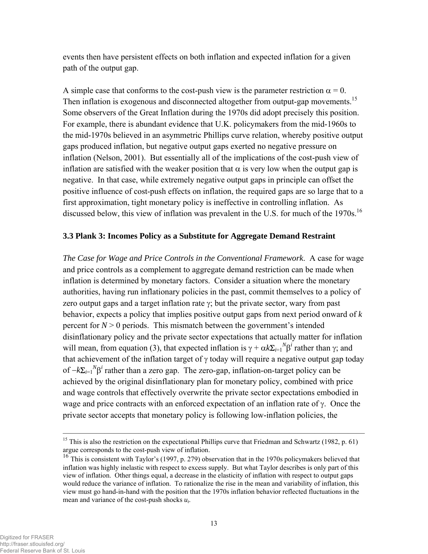events then have persistent effects on both inflation and expected inflation for a given path of the output gap.

A simple case that conforms to the cost-push view is the parameter restriction  $\alpha = 0$ . Then inflation is exogenous and disconnected altogether from output-gap movements.<sup>15</sup> Some observers of the Great Inflation during the 1970s did adopt precisely this position. For example, there is abundant evidence that U.K. policymakers from the mid-1960s to the mid-1970s believed in an asymmetric Phillips curve relation, whereby positive output gaps produced inflation, but negative output gaps exerted no negative pressure on inflation (Nelson, 2001). But essentially all of the implications of the cost-push view of inflation are satisfied with the weaker position that  $\alpha$  is very low when the output gap is negative. In that case, while extremely negative output gaps in principle can offset the positive influence of cost-push effects on inflation, the required gaps are so large that to a first approximation, tight monetary policy is ineffective in controlling inflation. As discussed below, this view of inflation was prevalent in the U.S. for much of the 1970s.<sup>16</sup>

#### **3.3 Plank 3: Incomes Policy as a Substitute for Aggregate Demand Restraint**

*The Case for Wage and Price Controls in the Conventional Framework*. A case for wage and price controls as a complement to aggregate demand restriction can be made when inflation is determined by monetary factors. Consider a situation where the monetary authorities, having run inflationary policies in the past, commit themselves to a policy of zero output gaps and a target inflation rate  $\gamma$ ; but the private sector, wary from past behavior, expects a policy that implies positive output gaps from next period onward of *k* percent for  $N > 0$  periods. This mismatch between the government's intended disinflationary policy and the private sector expectations that actually matter for inflation will mean, from equation (3), that expected inflation is  $\gamma + \alpha k \sum_{i=1}^{N} \beta^{i}$  rather than  $\gamma$ ; and that achievement of the inflation target of  $\gamma$  today will require a negative output gap today of −*k*Σ*i*=1 *N* β*i* rather than a zero gap. The zero-gap, inflation-on-target policy can be achieved by the original disinflationary plan for monetary policy, combined with price and wage controls that effectively overwrite the private sector expectations embodied in wage and price contracts with an enforced expectation of an inflation rate of γ. Once the private sector accepts that monetary policy is following low-inflation policies, the

<sup>&</sup>lt;sup>15</sup> This is also the restriction on the expectational Phillips curve that Friedman and Schwartz (1982, p. 61) argue corresponds to the cost-push view of inflation.

<sup>&</sup>lt;sup>16</sup> This is consistent with Taylor's (1997, p. 279) observation that in the 1970s policymakers believed that inflation was highly inelastic with respect to excess supply. But what Taylor describes is only part of this view of inflation. Other things equal, a decrease in the elasticity of inflation with respect to output gaps would reduce the variance of inflation. To rationalize the rise in the mean and variability of inflation, this view must go hand-in-hand with the position that the 1970s inflation behavior reflected fluctuations in the mean and variance of the cost-push shocks *ut*.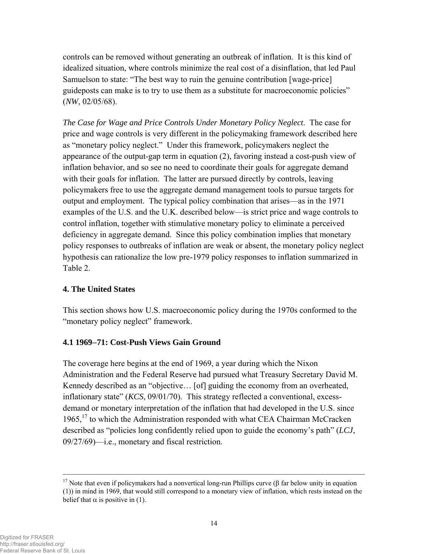controls can be removed without generating an outbreak of inflation. It is this kind of idealized situation, where controls minimize the real cost of a disinflation, that led Paul Samuelson to state: "The best way to ruin the genuine contribution [wage-price] guideposts can make is to try to use them as a substitute for macroeconomic policies" (*NW*, 02/05/68).

*The Case for Wage and Price Controls Under Monetary Policy Neglect*. The case for price and wage controls is very different in the policymaking framework described here as "monetary policy neglect." Under this framework, policymakers neglect the appearance of the output-gap term in equation (2), favoring instead a cost-push view of inflation behavior, and so see no need to coordinate their goals for aggregate demand with their goals for inflation. The latter are pursued directly by controls, leaving policymakers free to use the aggregate demand management tools to pursue targets for output and employment. The typical policy combination that arises—as in the 1971 examples of the U.S. and the U.K. described below—is strict price and wage controls to control inflation, together with stimulative monetary policy to eliminate a perceived deficiency in aggregate demand. Since this policy combination implies that monetary policy responses to outbreaks of inflation are weak or absent, the monetary policy neglect hypothesis can rationalize the low pre-1979 policy responses to inflation summarized in Table 2.

# **4. The United States**

This section shows how U.S. macroeconomic policy during the 1970s conformed to the "monetary policy neglect" framework.

#### **4.1 1969**−**71: Cost-Push Views Gain Ground**

The coverage here begins at the end of 1969, a year during which the Nixon Administration and the Federal Reserve had pursued what Treasury Secretary David M. Kennedy described as an "objective… [of] guiding the economy from an overheated, inflationary state" (*KCS*, 09/01/70). This strategy reflected a conventional, excessdemand or monetary interpretation of the inflation that had developed in the U.S. since 1965,<sup>17</sup> to which the Administration responded with what CEA Chairman McCracken described as "policies long confidently relied upon to guide the economy's path" (*LCJ*, 09/27/69)—i.e., monetary and fiscal restriction.

<sup>&</sup>lt;sup>17</sup> Note that even if policymakers had a nonvertical long-run Phillips curve (β far below unity in equation (1)) in mind in 1969, that would still correspond to a monetary view of inflation, which rests instead on the belief that  $\alpha$  is positive in (1).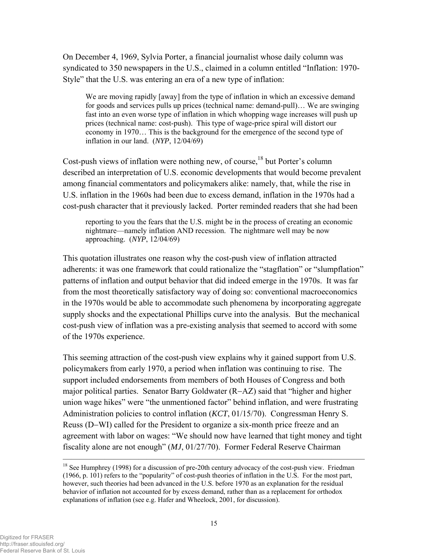On December 4, 1969, Sylvia Porter, a financial journalist whose daily column was syndicated to 350 newspapers in the U.S., claimed in a column entitled "Inflation: 1970- Style" that the U.S. was entering an era of a new type of inflation:

We are moving rapidly [away] from the type of inflation in which an excessive demand for goods and services pulls up prices (technical name: demand-pull)… We are swinging fast into an even worse type of inflation in which whopping wage increases will push up prices (technical name: cost-push). This type of wage-price spiral will distort our economy in 1970… This is the background for the emergence of the second type of inflation in our land. (*NYP*, 12/04/69)

Cost-push views of inflation were nothing new, of course,<sup>18</sup> but Porter's column described an interpretation of U.S. economic developments that would become prevalent among financial commentators and policymakers alike: namely, that, while the rise in U.S. inflation in the 1960s had been due to excess demand, inflation in the 1970s had a cost-push character that it previously lacked. Porter reminded readers that she had been

 reporting to you the fears that the U.S. might be in the process of creating an economic nightmare—namely inflation AND recession. The nightmare well may be now approaching. (*NYP*, 12/04/69)

This quotation illustrates one reason why the cost-push view of inflation attracted adherents: it was one framework that could rationalize the "stagflation" or "slumpflation" patterns of inflation and output behavior that did indeed emerge in the 1970s. It was far from the most theoretically satisfactory way of doing so: conventional macroeconomics in the 1970s would be able to accommodate such phenomena by incorporating aggregate supply shocks and the expectational Phillips curve into the analysis. But the mechanical cost-push view of inflation was a pre-existing analysis that seemed to accord with some of the 1970s experience.

This seeming attraction of the cost-push view explains why it gained support from U.S. policymakers from early 1970, a period when inflation was continuing to rise. The support included endorsements from members of both Houses of Congress and both major political parties. Senator Barry Goldwater (R−AZ) said that "higher and higher union wage hikes" were "the unmentioned factor" behind inflation, and were frustrating Administration policies to control inflation (*KCT*, 01/15/70). Congressman Henry S. Reuss (D−WI) called for the President to organize a six-month price freeze and an agreement with labor on wages: "We should now have learned that tight money and tight fiscality alone are not enough" (*MJ*, 01/27/70). Former Federal Reserve Chairman

 $18$  See Humphrey (1998) for a discussion of pre-20th century advocacy of the cost-push view. Friedman (1966, p. 101) refers to the "popularity" of cost-push theories of inflation in the U.S. For the most part, however, such theories had been advanced in the U.S. before 1970 as an explanation for the residual behavior of inflation not accounted for by excess demand, rather than as a replacement for orthodox explanations of inflation (see e.g. Hafer and Wheelock, 2001, for discussion).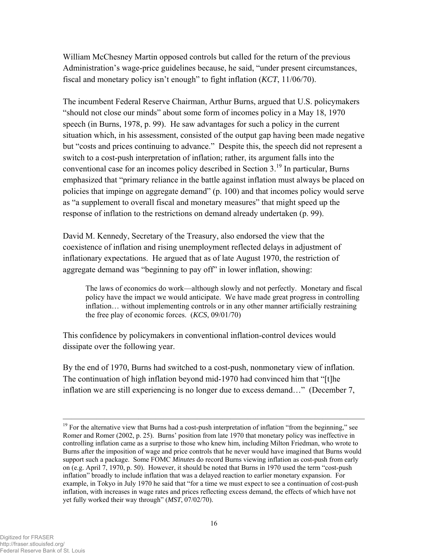William McChesney Martin opposed controls but called for the return of the previous Administration's wage-price guidelines because, he said, "under present circumstances, fiscal and monetary policy isn't enough" to fight inflation (*KCT*, 11/06/70).

The incumbent Federal Reserve Chairman, Arthur Burns, argued that U.S. policymakers "should not close our minds" about some form of incomes policy in a May 18, 1970 speech (in Burns, 1978, p. 99). He saw advantages for such a policy in the current situation which, in his assessment, consisted of the output gap having been made negative but "costs and prices continuing to advance." Despite this, the speech did not represent a switch to a cost-push interpretation of inflation; rather, its argument falls into the conventional case for an incomes policy described in Section  $3<sup>19</sup>$  In particular, Burns emphasized that "primary reliance in the battle against inflation must always be placed on policies that impinge on aggregate demand" (p. 100) and that incomes policy would serve as "a supplement to overall fiscal and monetary measures" that might speed up the response of inflation to the restrictions on demand already undertaken (p. 99).

David M. Kennedy, Secretary of the Treasury, also endorsed the view that the coexistence of inflation and rising unemployment reflected delays in adjustment of inflationary expectations. He argued that as of late August 1970, the restriction of aggregate demand was "beginning to pay off" in lower inflation, showing:

The laws of economics do work—although slowly and not perfectly. Monetary and fiscal policy have the impact we would anticipate. We have made great progress in controlling inflation… without implementing controls or in any other manner artificially restraining the free play of economic forces. (*KCS*, 09/01/70)

This confidence by policymakers in conventional inflation-control devices would dissipate over the following year.

By the end of 1970, Burns had switched to a cost-push, nonmonetary view of inflation. The continuation of high inflation beyond mid-1970 had convinced him that "[t]he inflation we are still experiencing is no longer due to excess demand…" (December 7,

<sup>&</sup>lt;sup>19</sup> For the alternative view that Burns had a cost-push interpretation of inflation "from the beginning," see Romer and Romer (2002, p. 25). Burns' position from late 1970 that monetary policy was ineffective in controlling inflation came as a surprise to those who knew him, including Milton Friedman, who wrote to Burns after the imposition of wage and price controls that he never would have imagined that Burns would support such a package. Some FOMC *Minutes* do record Burns viewing inflation as cost-push from early on (e.g. April 7, 1970, p. 50). However, it should be noted that Burns in 1970 used the term "cost-push inflation" broadly to include inflation that was a delayed reaction to earlier monetary expansion. For example, in Tokyo in July 1970 he said that "for a time we must expect to see a continuation of cost-push inflation, with increases in wage rates and prices reflecting excess demand, the effects of which have not yet fully worked their way through" (*MST*, 07/02/70).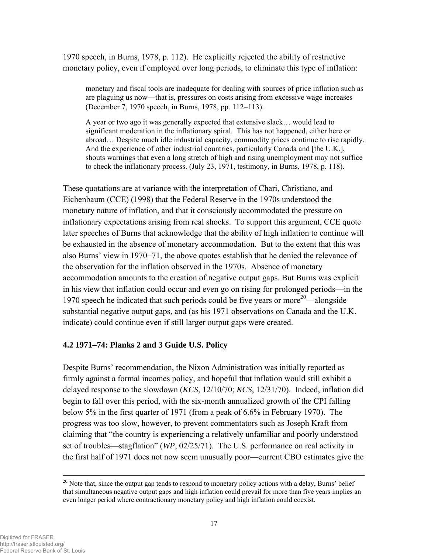1970 speech, in Burns, 1978, p. 112). He explicitly rejected the ability of restrictive monetary policy, even if employed over long periods, to eliminate this type of inflation:

monetary and fiscal tools are inadequate for dealing with sources of price inflation such as are plaguing us now—that is, pressures on costs arising from excessive wage increases (December 7, 1970 speech, in Burns, 1978, pp. 112−113).

A year or two ago it was generally expected that extensive slack… would lead to significant moderation in the inflationary spiral. This has not happened, either here or abroad… Despite much idle industrial capacity, commodity prices continue to rise rapidly. And the experience of other industrial countries, particularly Canada and [the U.K.], shouts warnings that even a long stretch of high and rising unemployment may not suffice to check the inflationary process. (July 23, 1971, testimony, in Burns, 1978, p. 118).

These quotations are at variance with the interpretation of Chari, Christiano, and Eichenbaum (CCE) (1998) that the Federal Reserve in the 1970s understood the monetary nature of inflation, and that it consciously accommodated the pressure on inflationary expectations arising from real shocks. To support this argument, CCE quote later speeches of Burns that acknowledge that the ability of high inflation to continue will be exhausted in the absence of monetary accommodation. But to the extent that this was also Burns' view in 1970−71, the above quotes establish that he denied the relevance of the observation for the inflation observed in the 1970s. Absence of monetary accommodation amounts to the creation of negative output gaps. But Burns was explicit in his view that inflation could occur and even go on rising for prolonged periods—in the 1970 speech he indicated that such periods could be five years or more<sup>20</sup>—alongside substantial negative output gaps, and (as his 1971 observations on Canada and the U.K. indicate) could continue even if still larger output gaps were created.

# **4.2 1971**−**74: Planks 2 and 3 Guide U.S. Policy**

Despite Burns' recommendation, the Nixon Administration was initially reported as firmly against a formal incomes policy, and hopeful that inflation would still exhibit a delayed response to the slowdown (*KCS*, 12/10/70; *KCS*, 12/31/70). Indeed, inflation did begin to fall over this period, with the six-month annualized growth of the CPI falling below 5% in the first quarter of 1971 (from a peak of 6.6% in February 1970). The progress was too slow, however, to prevent commentators such as Joseph Kraft from claiming that "the country is experiencing a relatively unfamiliar and poorly understood set of troubles—stagflation" (*WP*, 02/25/71). The U.S. performance on real activity in the first half of 1971 does not now seem unusually poor—current CBO estimates give the

 $20$  Note that, since the output gap tends to respond to monetary policy actions with a delay, Burns' belief that simultaneous negative output gaps and high inflation could prevail for more than five years implies an even longer period where contractionary monetary policy and high inflation could coexist.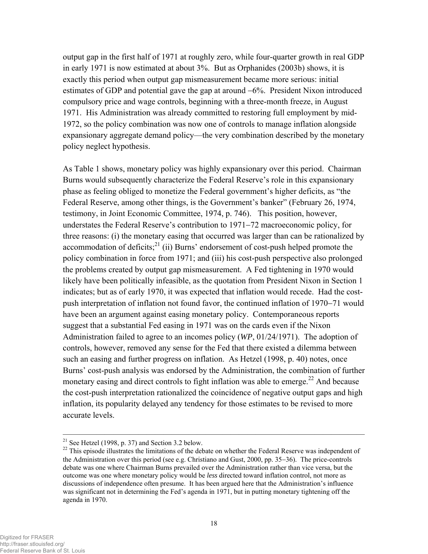output gap in the first half of 1971 at roughly zero, while four-quarter growth in real GDP in early 1971 is now estimated at about 3%. But as Orphanides (2003b) shows, it is exactly this period when output gap mismeasurement became more serious: initial estimates of GDP and potential gave the gap at around −6%. President Nixon introduced compulsory price and wage controls, beginning with a three-month freeze, in August 1971. His Administration was already committed to restoring full employment by mid-1972, so the policy combination was now one of controls to manage inflation alongside expansionary aggregate demand policy—the very combination described by the monetary policy neglect hypothesis.

As Table 1 shows, monetary policy was highly expansionary over this period. Chairman Burns would subsequently characterize the Federal Reserve's role in this expansionary phase as feeling obliged to monetize the Federal government's higher deficits, as "the Federal Reserve, among other things, is the Government's banker" (February 26, 1974, testimony, in Joint Economic Committee, 1974, p. 746). This position, however, understates the Federal Reserve's contribution to 1971−72 macroeconomic policy, for three reasons: (i) the monetary easing that occurred was larger than can be rationalized by accommodation of deficits; $^{21}$  (ii) Burns' endorsement of cost-push helped promote the policy combination in force from 1971; and (iii) his cost-push perspective also prolonged the problems created by output gap mismeasurement. A Fed tightening in 1970 would likely have been politically infeasible, as the quotation from President Nixon in Section 1 indicates; but as of early 1970, it was expected that inflation would recede. Had the costpush interpretation of inflation not found favor, the continued inflation of 1970−71 would have been an argument against easing monetary policy. Contemporaneous reports suggest that a substantial Fed easing in 1971 was on the cards even if the Nixon Administration failed to agree to an incomes policy (*WP*, 01/24/1971). The adoption of controls, however, removed any sense for the Fed that there existed a dilemma between such an easing and further progress on inflation. As Hetzel (1998, p. 40) notes, once Burns' cost-push analysis was endorsed by the Administration, the combination of further monetary easing and direct controls to fight inflation was able to emerge.<sup>22</sup> And because the cost-push interpretation rationalized the coincidence of negative output gaps and high inflation, its popularity delayed any tendency for those estimates to be revised to more accurate levels.

<sup>&</sup>lt;sup>21</sup> See Hetzel (1998, p. 37) and Section 3.2 below.

<sup>&</sup>lt;sup>22</sup> This episode illustrates the limitations of the debate on whether the Federal Reserve was independent of the Administration over this period (see e.g. Christiano and Gust, 2000, pp. 35−36). The price-controls debate was one where Chairman Burns prevailed over the Administration rather than vice versa, but the outcome was one where monetary policy would be *less* directed toward inflation control, not more as discussions of independence often presume. It has been argued here that the Administration's influence was significant not in determining the Fed's agenda in 1971, but in putting monetary tightening off the agenda in 1970.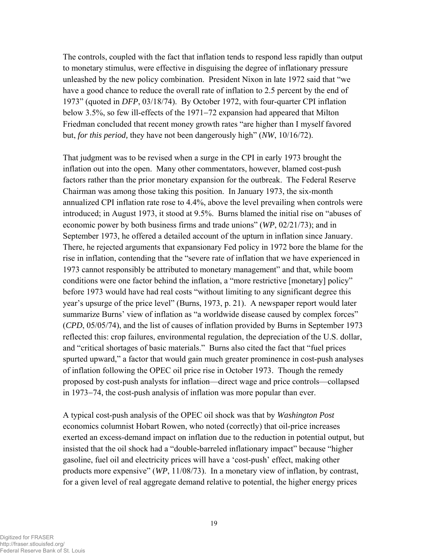The controls, coupled with the fact that inflation tends to respond less rapidly than output to monetary stimulus, were effective in disguising the degree of inflationary pressure unleashed by the new policy combination. President Nixon in late 1972 said that "we have a good chance to reduce the overall rate of inflation to 2.5 percent by the end of 1973" (quoted in *DFP*, 03/18/74). By October 1972, with four-quarter CPI inflation below 3.5%, so few ill-effects of the 1971−72 expansion had appeared that Milton Friedman concluded that recent money growth rates "are higher than I myself favored but, *for this period,* they have not been dangerously high" (*NW*, 10/16/72).

That judgment was to be revised when a surge in the CPI in early 1973 brought the inflation out into the open. Many other commentators, however, blamed cost-push factors rather than the prior monetary expansion for the outbreak. The Federal Reserve Chairman was among those taking this position. In January 1973, the six-month annualized CPI inflation rate rose to 4.4%, above the level prevailing when controls were introduced; in August 1973, it stood at 9.5%. Burns blamed the initial rise on "abuses of economic power by both business firms and trade unions" (*WP*, 02/21/73); and in September 1973, he offered a detailed account of the upturn in inflation since January. There, he rejected arguments that expansionary Fed policy in 1972 bore the blame for the rise in inflation, contending that the "severe rate of inflation that we have experienced in 1973 cannot responsibly be attributed to monetary management" and that, while boom conditions were one factor behind the inflation, a "more restrictive [monetary] policy" before 1973 would have had real costs "without limiting to any significant degree this year's upsurge of the price level" (Burns, 1973, p. 21). A newspaper report would later summarize Burns' view of inflation as "a worldwide disease caused by complex forces" (*CPD*, 05/05/74), and the list of causes of inflation provided by Burns in September 1973 reflected this: crop failures, environmental regulation, the depreciation of the U.S. dollar, and "critical shortages of basic materials." Burns also cited the fact that "fuel prices spurted upward," a factor that would gain much greater prominence in cost-push analyses of inflation following the OPEC oil price rise in October 1973. Though the remedy proposed by cost-push analysts for inflation—direct wage and price controls—collapsed in 1973−74, the cost-push analysis of inflation was more popular than ever.

A typical cost-push analysis of the OPEC oil shock was that by *Washington Post* economics columnist Hobart Rowen, who noted (correctly) that oil-price increases exerted an excess-demand impact on inflation due to the reduction in potential output, but insisted that the oil shock had a "double-barreled inflationary impact" because "higher gasoline, fuel oil and electricity prices will have a 'cost-push' effect, making other products more expensive" (*WP*, 11/08/73). In a monetary view of inflation, by contrast, for a given level of real aggregate demand relative to potential, the higher energy prices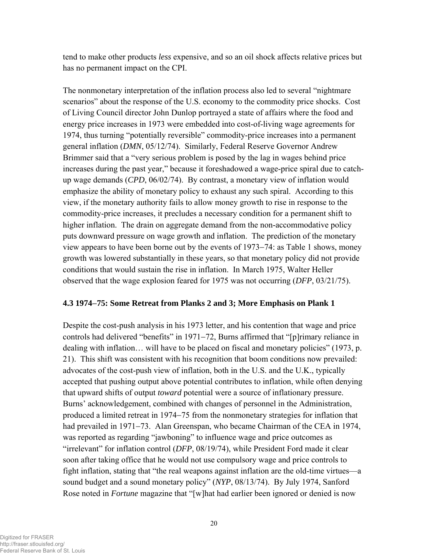tend to make other products *less* expensive, and so an oil shock affects relative prices but has no permanent impact on the CPI.

The nonmonetary interpretation of the inflation process also led to several "nightmare scenarios" about the response of the U.S. economy to the commodity price shocks. Cost of Living Council director John Dunlop portrayed a state of affairs where the food and energy price increases in 1973 were embedded into cost-of-living wage agreements for 1974, thus turning "potentially reversible" commodity-price increases into a permanent general inflation (*DMN*, 05/12/74). Similarly, Federal Reserve Governor Andrew Brimmer said that a "very serious problem is posed by the lag in wages behind price increases during the past year," because it foreshadowed a wage-price spiral due to catchup wage demands (*CPD*, 06/02/74). By contrast, a monetary view of inflation would emphasize the ability of monetary policy to exhaust any such spiral. According to this view, if the monetary authority fails to allow money growth to rise in response to the commodity-price increases, it precludes a necessary condition for a permanent shift to higher inflation. The drain on aggregate demand from the non-accommodative policy puts downward pressure on wage growth and inflation. The prediction of the monetary view appears to have been borne out by the events of 1973−74: as Table 1 shows, money growth was lowered substantially in these years, so that monetary policy did not provide conditions that would sustain the rise in inflation. In March 1975, Walter Heller observed that the wage explosion feared for 1975 was not occurring (*DFP*, 03/21/75).

#### **4.3 1974**−**75: Some Retreat from Planks 2 and 3; More Emphasis on Plank 1**

Despite the cost-push analysis in his 1973 letter, and his contention that wage and price controls had delivered "benefits" in 1971−72, Burns affirmed that "[p]rimary reliance in dealing with inflation… will have to be placed on fiscal and monetary policies" (1973, p. 21). This shift was consistent with his recognition that boom conditions now prevailed: advocates of the cost-push view of inflation, both in the U.S. and the U.K., typically accepted that pushing output above potential contributes to inflation, while often denying that upward shifts of output *toward* potential were a source of inflationary pressure. Burns' acknowledgement, combined with changes of personnel in the Administration, produced a limited retreat in 1974−75 from the nonmonetary strategies for inflation that had prevailed in 1971−73. Alan Greenspan, who became Chairman of the CEA in 1974, was reported as regarding "jawboning" to influence wage and price outcomes as "irrelevant" for inflation control (*DFP*, 08/19/74), while President Ford made it clear soon after taking office that he would not use compulsory wage and price controls to fight inflation, stating that "the real weapons against inflation are the old-time virtues—a sound budget and a sound monetary policy" (*NYP*, 08/13/74). By July 1974, Sanford Rose noted in *Fortune* magazine that "[w]hat had earlier been ignored or denied is now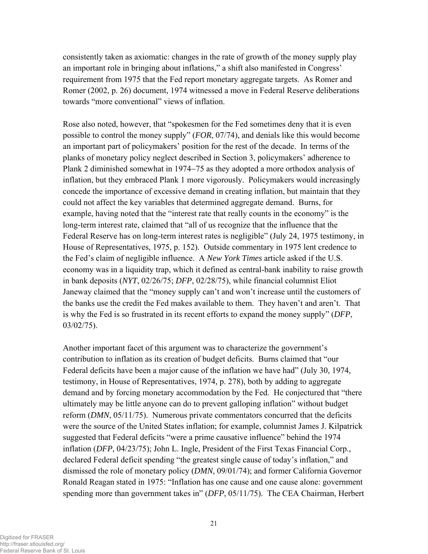consistently taken as axiomatic: changes in the rate of growth of the money supply play an important role in bringing about inflations," a shift also manifested in Congress' requirement from 1975 that the Fed report monetary aggregate targets. As Romer and Romer (2002, p. 26) document, 1974 witnessed a move in Federal Reserve deliberations towards "more conventional" views of inflation.

Rose also noted, however, that "spokesmen for the Fed sometimes deny that it is even possible to control the money supply" (*FOR*, 07/74), and denials like this would become an important part of policymakers' position for the rest of the decade. In terms of the planks of monetary policy neglect described in Section 3, policymakers' adherence to Plank 2 diminished somewhat in 1974–75 as they adopted a more orthodox analysis of inflation, but they embraced Plank 1 more vigorously. Policymakers would increasingly concede the importance of excessive demand in creating inflation, but maintain that they could not affect the key variables that determined aggregate demand. Burns, for example, having noted that the "interest rate that really counts in the economy" is the long-term interest rate, claimed that "all of us recognize that the influence that the Federal Reserve has on long-term interest rates is negligible" (July 24, 1975 testimony, in House of Representatives, 1975, p. 152). Outside commentary in 1975 lent credence to the Fed's claim of negligible influence. A *New York Times* article asked if the U.S. economy was in a liquidity trap, which it defined as central-bank inability to raise growth in bank deposits (*NYT*, 02/26/75; *DFP*, 02/28/75), while financial columnist Eliot Janeway claimed that the "money supply can't and won't increase until the customers of the banks use the credit the Fed makes available to them. They haven't and aren't. That is why the Fed is so frustrated in its recent efforts to expand the money supply" (*DFP*, 03/02/75).

Another important facet of this argument was to characterize the government's contribution to inflation as its creation of budget deficits. Burns claimed that "our Federal deficits have been a major cause of the inflation we have had" (July 30, 1974, testimony, in House of Representatives, 1974, p. 278), both by adding to aggregate demand and by forcing monetary accommodation by the Fed. He conjectured that "there ultimately may be little anyone can do to prevent galloping inflation" without budget reform (*DMN*, 05/11/75). Numerous private commentators concurred that the deficits were the source of the United States inflation; for example, columnist James J. Kilpatrick suggested that Federal deficits "were a prime causative influence" behind the 1974 inflation (*DFP*, 04/23/75); John L. Ingle, President of the First Texas Financial Corp., declared Federal deficit spending "the greatest single cause of today's inflation," and dismissed the role of monetary policy (*DMN*, 09/01/74); and former California Governor Ronald Reagan stated in 1975: "Inflation has one cause and one cause alone: government spending more than government takes in" (*DFP*, 05/11/75). The CEA Chairman, Herbert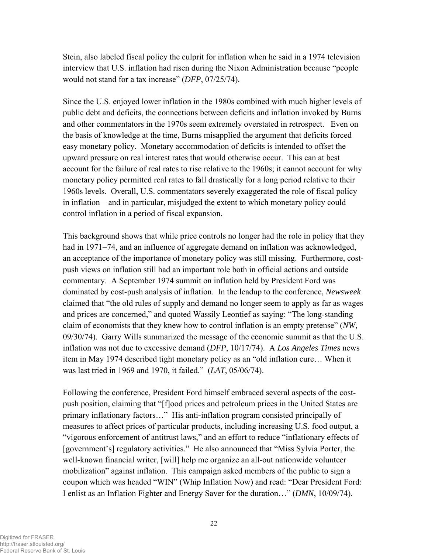Stein, also labeled fiscal policy the culprit for inflation when he said in a 1974 television interview that U.S. inflation had risen during the Nixon Administration because "people would not stand for a tax increase" (*DFP*, 07/25/74).

Since the U.S. enjoyed lower inflation in the 1980s combined with much higher levels of public debt and deficits, the connections between deficits and inflation invoked by Burns and other commentators in the 1970s seem extremely overstated in retrospect. Even on the basis of knowledge at the time, Burns misapplied the argument that deficits forced easy monetary policy. Monetary accommodation of deficits is intended to offset the upward pressure on real interest rates that would otherwise occur. This can at best account for the failure of real rates to rise relative to the 1960s; it cannot account for why monetary policy permitted real rates to fall drastically for a long period relative to their 1960s levels. Overall, U.S. commentators severely exaggerated the role of fiscal policy in inflation—and in particular, misjudged the extent to which monetary policy could control inflation in a period of fiscal expansion.

This background shows that while price controls no longer had the role in policy that they had in 1971−74, and an influence of aggregate demand on inflation was acknowledged, an acceptance of the importance of monetary policy was still missing. Furthermore, costpush views on inflation still had an important role both in official actions and outside commentary. A September 1974 summit on inflation held by President Ford was dominated by cost-push analysis of inflation. In the leadup to the conference, *Newsweek* claimed that "the old rules of supply and demand no longer seem to apply as far as wages and prices are concerned," and quoted Wassily Leontief as saying: "The long-standing claim of economists that they knew how to control inflation is an empty pretense" (*NW*, 09/30/74). Garry Wills summarized the message of the economic summit as that the U.S. inflation was not due to excessive demand (*DFP*, 10/17/74). A *Los Angeles Times* news item in May 1974 described tight monetary policy as an "old inflation cure… When it was last tried in 1969 and 1970, it failed." (*LAT*, 05/06/74).

Following the conference, President Ford himself embraced several aspects of the costpush position, claiming that "[f]ood prices and petroleum prices in the United States are primary inflationary factors…" His anti-inflation program consisted principally of measures to affect prices of particular products, including increasing U.S. food output, a "vigorous enforcement of antitrust laws," and an effort to reduce "inflationary effects of [government's] regulatory activities." He also announced that "Miss Sylvia Porter, the well-known financial writer, [will] help me organize an all-out nationwide volunteer mobilization" against inflation. This campaign asked members of the public to sign a coupon which was headed "WIN" (Whip Inflation Now) and read: "Dear President Ford: I enlist as an Inflation Fighter and Energy Saver for the duration…" (*DMN*, 10/09/74).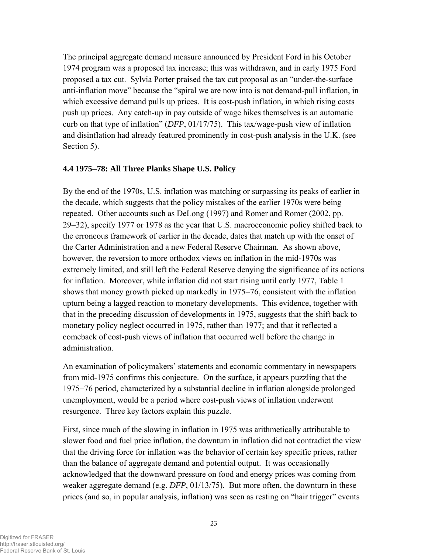The principal aggregate demand measure announced by President Ford in his October 1974 program was a proposed tax increase; this was withdrawn, and in early 1975 Ford proposed a tax cut. Sylvia Porter praised the tax cut proposal as an "under-the-surface anti-inflation move" because the "spiral we are now into is not demand-pull inflation, in which excessive demand pulls up prices. It is cost-push inflation, in which rising costs push up prices. Any catch-up in pay outside of wage hikes themselves is an automatic curb on that type of inflation" (*DFP*, 01/17/75). This tax/wage-push view of inflation and disinflation had already featured prominently in cost-push analysis in the U.K. (see Section 5).

#### **4.4 1975**−**78: All Three Planks Shape U.S. Policy**

By the end of the 1970s, U.S. inflation was matching or surpassing its peaks of earlier in the decade, which suggests that the policy mistakes of the earlier 1970s were being repeated. Other accounts such as DeLong (1997) and Romer and Romer (2002, pp. 29−32), specify 1977 or 1978 as the year that U.S. macroeconomic policy shifted back to the erroneous framework of earlier in the decade, dates that match up with the onset of the Carter Administration and a new Federal Reserve Chairman. As shown above, however, the reversion to more orthodox views on inflation in the mid-1970s was extremely limited, and still left the Federal Reserve denying the significance of its actions for inflation. Moreover, while inflation did not start rising until early 1977, Table 1 shows that money growth picked up markedly in 1975−76, consistent with the inflation upturn being a lagged reaction to monetary developments. This evidence, together with that in the preceding discussion of developments in 1975, suggests that the shift back to monetary policy neglect occurred in 1975, rather than 1977; and that it reflected a comeback of cost-push views of inflation that occurred well before the change in administration.

An examination of policymakers' statements and economic commentary in newspapers from mid-1975 confirms this conjecture. On the surface, it appears puzzling that the 1975−76 period, characterized by a substantial decline in inflation alongside prolonged unemployment, would be a period where cost-push views of inflation underwent resurgence. Three key factors explain this puzzle.

First, since much of the slowing in inflation in 1975 was arithmetically attributable to slower food and fuel price inflation, the downturn in inflation did not contradict the view that the driving force for inflation was the behavior of certain key specific prices, rather than the balance of aggregate demand and potential output. It was occasionally acknowledged that the downward pressure on food and energy prices was coming from weaker aggregate demand (e.g. *DFP*, 01/13/75). But more often, the downturn in these prices (and so, in popular analysis, inflation) was seen as resting on "hair trigger" events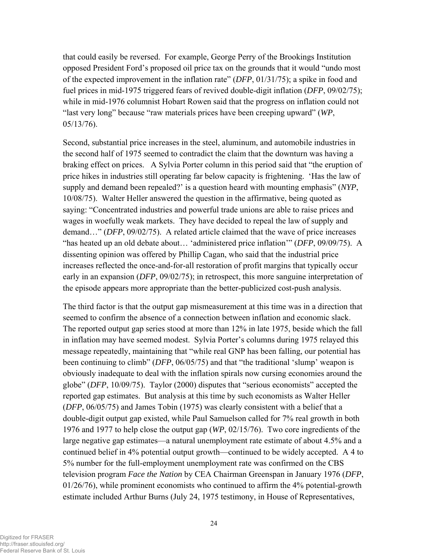that could easily be reversed. For example, George Perry of the Brookings Institution opposed President Ford's proposed oil price tax on the grounds that it would "undo most of the expected improvement in the inflation rate" (*DFP*, 01/31/75); a spike in food and fuel prices in mid-1975 triggered fears of revived double-digit inflation (*DFP*, 09/02/75); while in mid-1976 columnist Hobart Rowen said that the progress on inflation could not "last very long" because "raw materials prices have been creeping upward" (*WP*, 05/13/76).

Second, substantial price increases in the steel, aluminum, and automobile industries in the second half of 1975 seemed to contradict the claim that the downturn was having a braking effect on prices. A Sylvia Porter column in this period said that "the eruption of price hikes in industries still operating far below capacity is frightening. 'Has the law of supply and demand been repealed?' is a question heard with mounting emphasis" (*NYP*, 10/08/75). Walter Heller answered the question in the affirmative, being quoted as saying: "Concentrated industries and powerful trade unions are able to raise prices and wages in woefully weak markets. They have decided to repeal the law of supply and demand…" (*DFP*, 09/02/75). A related article claimed that the wave of price increases "has heated up an old debate about… 'administered price inflation'" (*DFP*, 09/09/75). A dissenting opinion was offered by Phillip Cagan, who said that the industrial price increases reflected the once-and-for-all restoration of profit margins that typically occur early in an expansion (*DFP*, 09/02/75); in retrospect, this more sanguine interpretation of the episode appears more appropriate than the better-publicized cost-push analysis.

The third factor is that the output gap mismeasurement at this time was in a direction that seemed to confirm the absence of a connection between inflation and economic slack. The reported output gap series stood at more than 12% in late 1975, beside which the fall in inflation may have seemed modest. Sylvia Porter's columns during 1975 relayed this message repeatedly, maintaining that "while real GNP has been falling, our potential has been continuing to climb" (*DFP*, 06/05/75) and that "the traditional 'slump' weapon is obviously inadequate to deal with the inflation spirals now cursing economies around the globe" (*DFP*, 10/09/75). Taylor (2000) disputes that "serious economists" accepted the reported gap estimates. But analysis at this time by such economists as Walter Heller (*DFP*, 06/05/75) and James Tobin (1975) was clearly consistent with a belief that a double-digit output gap existed, while Paul Samuelson called for 7% real growth in both 1976 and 1977 to help close the output gap (*WP*, 02/15/76). Two core ingredients of the large negative gap estimates—a natural unemployment rate estimate of about 4.5% and a continued belief in 4% potential output growth—continued to be widely accepted. A 4 to 5% number for the full-employment unemployment rate was confirmed on the CBS television program *Face the Nation* by CEA Chairman Greenspan in January 1976 (*DFP*, 01/26/76), while prominent economists who continued to affirm the 4% potential-growth estimate included Arthur Burns (July 24, 1975 testimony, in House of Representatives,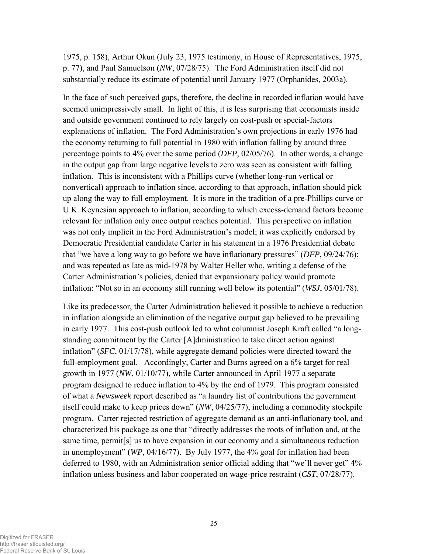1975, p. 158), Arthur Okun (July 23, 1975 testimony, in House of Representatives, 1975, p. 77), and Paul Samuelson (*NW*, 07/28/75). The Ford Administration itself did not substantially reduce its estimate of potential until January 1977 (Orphanides, 2003a).

In the face of such perceived gaps, therefore, the decline in recorded inflation would have seemed unimpressively small. In light of this, it is less surprising that economists inside and outside government continued to rely largely on cost-push or special-factors explanations of inflation. The Ford Administration's own projections in early 1976 had the economy returning to full potential in 1980 with inflation falling by around three percentage points to 4% over the same period (*DFP*, 02/05/76). In other words, a change in the output gap from large negative levels to zero was seen as consistent with falling inflation. This is inconsistent with a Phillips curve (whether long-run vertical or nonvertical) approach to inflation since, according to that approach, inflation should pick up along the way to full employment. It is more in the tradition of a pre-Phillips curve or U.K. Keynesian approach to inflation, according to which excess-demand factors become relevant for inflation only once output reaches potential. This perspective on inflation was not only implicit in the Ford Administration's model; it was explicitly endorsed by Democratic Presidential candidate Carter in his statement in a 1976 Presidential debate that "we have a long way to go before we have inflationary pressures" (*DFP*, 09/24/76); and was repeated as late as mid-1978 by Walter Heller who, writing a defense of the Carter Administration's policies, denied that expansionary policy would promote inflation: "Not so in an economy still running well below its potential" (*WSJ*, 05/01/78).

Like its predecessor, the Carter Administration believed it possible to achieve a reduction in inflation alongside an elimination of the negative output gap believed to be prevailing in early 1977. This cost-push outlook led to what columnist Joseph Kraft called "a longstanding commitment by the Carter [A]dministration to take direct action against inflation" (*SFC*, 01/17/78), while aggregate demand policies were directed toward the full-employment goal. Accordingly, Carter and Burns agreed on a 6% target for real growth in 1977 (*NW*, 01/10/77), while Carter announced in April 1977 a separate program designed to reduce inflation to 4% by the end of 1979. This program consisted of what a *Newsweek* report described as "a laundry list of contributions the government itself could make to keep prices down" (*NW*, 04/25/77), including a commodity stockpile program. Carter rejected restriction of aggregate demand as an anti-inflationary tool, and characterized his package as one that "directly addresses the roots of inflation and, at the same time, permit[s] us to have expansion in our economy and a simultaneous reduction in unemployment" (*WP*, 04/16/77). By July 1977, the 4% goal for inflation had been deferred to 1980, with an Administration senior official adding that "we'll never get" 4% inflation unless business and labor cooperated on wage-price restraint (*CST*, 07/28/77).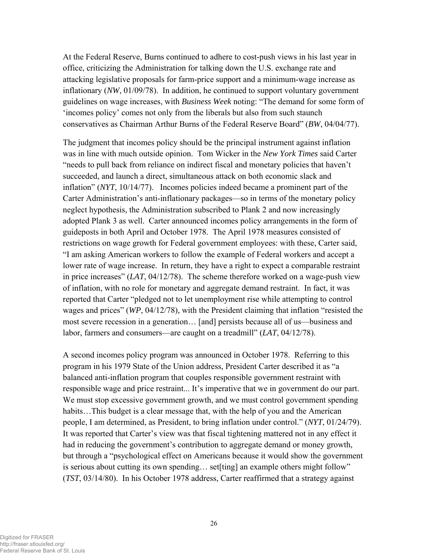At the Federal Reserve, Burns continued to adhere to cost-push views in his last year in office, criticizing the Administration for talking down the U.S. exchange rate and attacking legislative proposals for farm-price support and a minimum-wage increase as inflationary (*NW*, 01/09/78). In addition, he continued to support voluntary government guidelines on wage increases, with *Business Week* noting: "The demand for some form of 'incomes policy' comes not only from the liberals but also from such staunch conservatives as Chairman Arthur Burns of the Federal Reserve Board" (*BW*, 04/04/77).

The judgment that incomes policy should be the principal instrument against inflation was in line with much outside opinion. Tom Wicker in the *New York Times* said Carter "needs to pull back from reliance on indirect fiscal and monetary policies that haven't succeeded, and launch a direct, simultaneous attack on both economic slack and inflation" (*NYT*, 10/14/77). Incomes policies indeed became a prominent part of the Carter Administration's anti-inflationary packages—so in terms of the monetary policy neglect hypothesis, the Administration subscribed to Plank 2 and now increasingly adopted Plank 3 as well. Carter announced incomes policy arrangements in the form of guideposts in both April and October 1978. The April 1978 measures consisted of restrictions on wage growth for Federal government employees: with these, Carter said, "I am asking American workers to follow the example of Federal workers and accept a lower rate of wage increase. In return, they have a right to expect a comparable restraint in price increases" (*LAT*, 04/12/78). The scheme therefore worked on a wage-push view of inflation, with no role for monetary and aggregate demand restraint. In fact, it was reported that Carter "pledged not to let unemployment rise while attempting to control wages and prices" (*WP*, 04/12/78), with the President claiming that inflation "resisted the most severe recession in a generation… [and] persists because all of us—business and labor, farmers and consumers—are caught on a treadmill" (*LAT*, 04/12/78).

A second incomes policy program was announced in October 1978. Referring to this program in his 1979 State of the Union address, President Carter described it as "a balanced anti-inflation program that couples responsible government restraint with responsible wage and price restraint... It's imperative that we in government do our part. We must stop excessive government growth, and we must control government spending habits...This budget is a clear message that, with the help of you and the American people, I am determined, as President, to bring inflation under control." (*NYT*, 01/24/79). It was reported that Carter's view was that fiscal tightening mattered not in any effect it had in reducing the government's contribution to aggregate demand or money growth, but through a "psychological effect on Americans because it would show the government is serious about cutting its own spending… set[ting] an example others might follow" (*TST*, 03/14/80). In his October 1978 address, Carter reaffirmed that a strategy against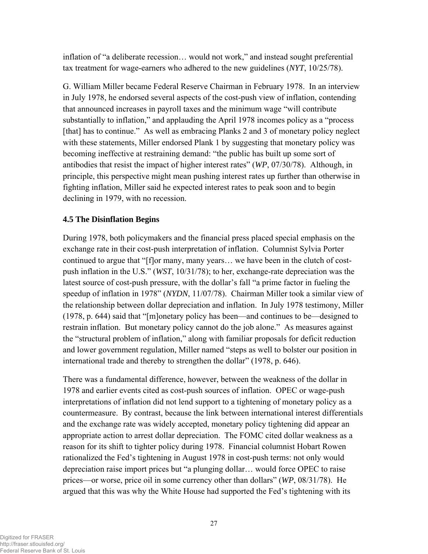inflation of "a deliberate recession… would not work," and instead sought preferential tax treatment for wage-earners who adhered to the new guidelines (*NYT*, 10/25/78).

G. William Miller became Federal Reserve Chairman in February 1978. In an interview in July 1978, he endorsed several aspects of the cost-push view of inflation, contending that announced increases in payroll taxes and the minimum wage "will contribute substantially to inflation," and applauding the April 1978 incomes policy as a "process [that] has to continue." As well as embracing Planks 2 and 3 of monetary policy neglect with these statements, Miller endorsed Plank 1 by suggesting that monetary policy was becoming ineffective at restraining demand: "the public has built up some sort of antibodies that resist the impact of higher interest rates" (*WP*, 07/30/78). Although, in principle, this perspective might mean pushing interest rates up further than otherwise in fighting inflation, Miller said he expected interest rates to peak soon and to begin declining in 1979, with no recession.

# **4.5 The Disinflation Begins**

During 1978, both policymakers and the financial press placed special emphasis on the exchange rate in their cost-push interpretation of inflation. Columnist Sylvia Porter continued to argue that "[f]or many, many years… we have been in the clutch of costpush inflation in the U.S." (*WST*, 10/31/78); to her, exchange-rate depreciation was the latest source of cost-push pressure, with the dollar's fall "a prime factor in fueling the speedup of inflation in 1978" (*NYDN*, 11/07/78). Chairman Miller took a similar view of the relationship between dollar depreciation and inflation. In July 1978 testimony, Miller (1978, p. 644) said that "[m]onetary policy has been—and continues to be—designed to restrain inflation. But monetary policy cannot do the job alone." As measures against the "structural problem of inflation," along with familiar proposals for deficit reduction and lower government regulation, Miller named "steps as well to bolster our position in international trade and thereby to strengthen the dollar" (1978, p. 646).

There was a fundamental difference, however, between the weakness of the dollar in 1978 and earlier events cited as cost-push sources of inflation. OPEC or wage-push interpretations of inflation did not lend support to a tightening of monetary policy as a countermeasure. By contrast, because the link between international interest differentials and the exchange rate was widely accepted, monetary policy tightening did appear an appropriate action to arrest dollar depreciation. The FOMC cited dollar weakness as a reason for its shift to tighter policy during 1978. Financial columnist Hobart Rowen rationalized the Fed's tightening in August 1978 in cost-push terms: not only would depreciation raise import prices but "a plunging dollar… would force OPEC to raise prices—or worse, price oil in some currency other than dollars" (*WP*, 08/31/78). He argued that this was why the White House had supported the Fed's tightening with its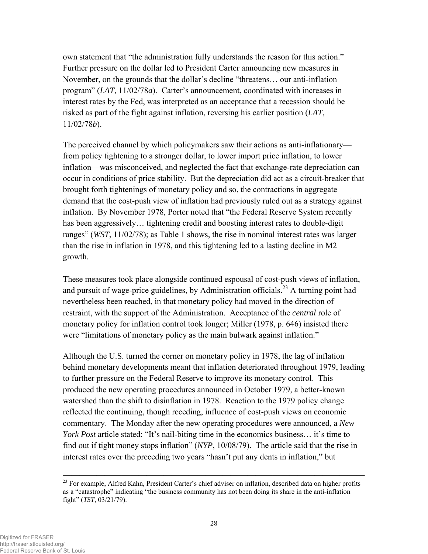own statement that "the administration fully understands the reason for this action." Further pressure on the dollar led to President Carter announcing new measures in November, on the grounds that the dollar's decline "threatens… our anti-inflation program" (*LAT*, 11/02/78*a*). Carter's announcement, coordinated with increases in interest rates by the Fed, was interpreted as an acceptance that a recession should be risked as part of the fight against inflation, reversing his earlier position (*LAT*, 11/02/78*b*).

The perceived channel by which policymakers saw their actions as anti-inflationary from policy tightening to a stronger dollar, to lower import price inflation, to lower inflation—was misconceived, and neglected the fact that exchange-rate depreciation can occur in conditions of price stability. But the depreciation did act as a circuit-breaker that brought forth tightenings of monetary policy and so, the contractions in aggregate demand that the cost-push view of inflation had previously ruled out as a strategy against inflation. By November 1978, Porter noted that "the Federal Reserve System recently has been aggressively… tightening credit and boosting interest rates to double-digit ranges" (*WST*, 11/02/78); as Table 1 shows, the rise in nominal interest rates was larger than the rise in inflation in 1978, and this tightening led to a lasting decline in M2 growth.

These measures took place alongside continued espousal of cost-push views of inflation, and pursuit of wage-price guidelines, by Administration officials.<sup>23</sup> A turning point had nevertheless been reached, in that monetary policy had moved in the direction of restraint, with the support of the Administration. Acceptance of the *central* role of monetary policy for inflation control took longer; Miller (1978, p. 646) insisted there were "limitations of monetary policy as the main bulwark against inflation."

Although the U.S. turned the corner on monetary policy in 1978, the lag of inflation behind monetary developments meant that inflation deteriorated throughout 1979, leading to further pressure on the Federal Reserve to improve its monetary control. This produced the new operating procedures announced in October 1979, a better-known watershed than the shift to disinflation in 1978. Reaction to the 1979 policy change reflected the continuing, though receding, influence of cost-push views on economic commentary. The Monday after the new operating procedures were announced, a *New York Post article stated:* "It's nail-biting time in the economics business... it's time to find out if tight money stops inflation" (*NYP*, 10/08/79). The article said that the rise in interest rates over the preceding two years "hasn't put any dents in inflation," but

 $\overline{\phantom{a}}$  , and the contract of the contract of the contract of  $\overline{\phantom{a}}$ 

<sup>&</sup>lt;sup>23</sup> For example, Alfred Kahn, President Carter's chief adviser on inflation, described data on higher profits as a "catastrophe" indicating "the business community has not been doing its share in the anti-inflation fight" (*TST*, 03/21/79).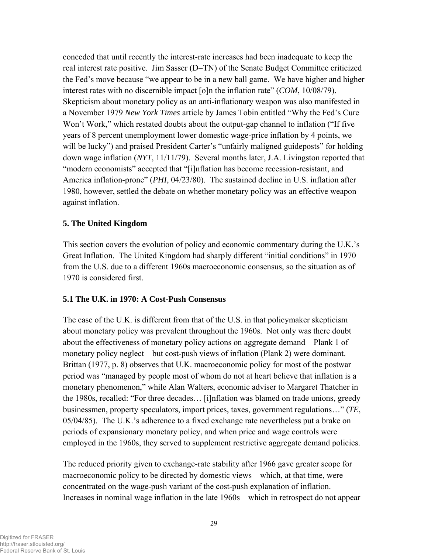conceded that until recently the interest-rate increases had been inadequate to keep the real interest rate positive. Jim Sasser (D−TN) of the Senate Budget Committee criticized the Fed's move because "we appear to be in a new ball game. We have higher and higher interest rates with no discernible impact [o]n the inflation rate" (*COM*, 10/08/79). Skepticism about monetary policy as an anti-inflationary weapon was also manifested in a November 1979 *New York Times* article by James Tobin entitled "Why the Fed's Cure Won't Work," which restated doubts about the output-gap channel to inflation ("If five years of 8 percent unemployment lower domestic wage-price inflation by 4 points, we will be lucky") and praised President Carter's "unfairly maligned guideposts" for holding down wage inflation (*NYT*, 11/11/79). Several months later, J.A. Livingston reported that "modern economists" accepted that "[i]nflation has become recession-resistant, and America inflation-prone" (*PHI*, 04/23/80). The sustained decline in U.S. inflation after 1980, however, settled the debate on whether monetary policy was an effective weapon against inflation.

# **5. The United Kingdom**

This section covers the evolution of policy and economic commentary during the U.K.'s Great Inflation. The United Kingdom had sharply different "initial conditions" in 1970 from the U.S. due to a different 1960s macroeconomic consensus, so the situation as of 1970 is considered first.

# **5.1 The U.K. in 1970: A Cost-Push Consensus**

The case of the U.K. is different from that of the U.S. in that policymaker skepticism about monetary policy was prevalent throughout the 1960s. Not only was there doubt about the effectiveness of monetary policy actions on aggregate demand—Plank 1 of monetary policy neglect—but cost-push views of inflation (Plank 2) were dominant. Brittan (1977, p. 8) observes that U.K. macroeconomic policy for most of the postwar period was "managed by people most of whom do not at heart believe that inflation is a monetary phenomenon," while Alan Walters, economic adviser to Margaret Thatcher in the 1980s, recalled: "For three decades… [i]nflation was blamed on trade unions, greedy businessmen, property speculators, import prices, taxes, government regulations…" (*TE*, 05/04/85). The U.K.'s adherence to a fixed exchange rate nevertheless put a brake on periods of expansionary monetary policy, and when price and wage controls were employed in the 1960s, they served to supplement restrictive aggregate demand policies.

The reduced priority given to exchange-rate stability after 1966 gave greater scope for macroeconomic policy to be directed by domestic views—which, at that time, were concentrated on the wage-push variant of the cost-push explanation of inflation. Increases in nominal wage inflation in the late 1960s—which in retrospect do not appear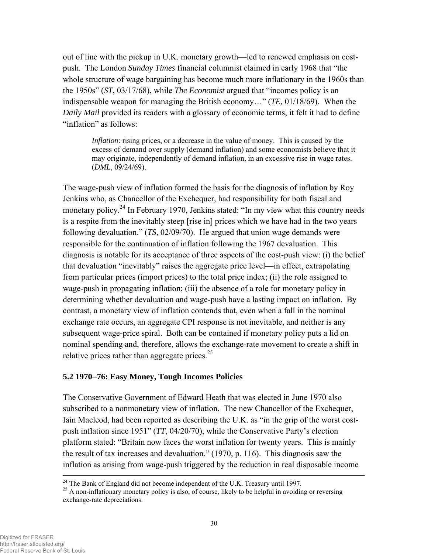out of line with the pickup in U.K. monetary growth—led to renewed emphasis on costpush. The London *Sunday Times* financial columnist claimed in early 1968 that "the whole structure of wage bargaining has become much more inflationary in the 1960s than the 1950s" (*ST*, 03/17/68), while *The Economist* argued that "incomes policy is an indispensable weapon for managing the British economy…" (*TE,* 01/18/69). When the *Daily Mail* provided its readers with a glossary of economic terms, it felt it had to define "inflation" as follows:

*Inflation*: rising prices, or a decrease in the value of money. This is caused by the excess of demand over supply (demand inflation) and some economists believe that it may originate, independently of demand inflation, in an excessive rise in wage rates. (*DML*, 09/24/69).

The wage-push view of inflation formed the basis for the diagnosis of inflation by Roy Jenkins who, as Chancellor of the Exchequer, had responsibility for both fiscal and monetary policy.<sup>24</sup> In February 1970, Jenkins stated: "In my view what this country needs is a respite from the inevitably steep [rise in] prices which we have had in the two years following devaluation." (*TS*, 02/09/70). He argued that union wage demands were responsible for the continuation of inflation following the 1967 devaluation. This diagnosis is notable for its acceptance of three aspects of the cost-push view: (i) the belief that devaluation "inevitably" raises the aggregate price level—in effect, extrapolating from particular prices (import prices) to the total price index; (ii) the role assigned to wage-push in propagating inflation; (iii) the absence of a role for monetary policy in determining whether devaluation and wage-push have a lasting impact on inflation. By contrast, a monetary view of inflation contends that, even when a fall in the nominal exchange rate occurs, an aggregate CPI response is not inevitable, and neither is any subsequent wage-price spiral. Both can be contained if monetary policy puts a lid on nominal spending and, therefore, allows the exchange-rate movement to create a shift in relative prices rather than aggregate prices.<sup>25</sup>

#### **5.2 1970**−**76: Easy Money, Tough Incomes Policies**

The Conservative Government of Edward Heath that was elected in June 1970 also subscribed to a nonmonetary view of inflation. The new Chancellor of the Exchequer, Iain Macleod, had been reported as describing the U.K. as "in the grip of the worst costpush inflation since 1951" (*TT*, 04/20/70), while the Conservative Party's election platform stated: "Britain now faces the worst inflation for twenty years. This is mainly the result of tax increases and devaluation." (1970, p. 116). This diagnosis saw the inflation as arising from wage-push triggered by the reduction in real disposable income

 $^{24}$  The Bank of England did not become independent of the U.K. Treasury until 1997.

<sup>&</sup>lt;sup>25</sup> A non-inflationary monetary policy is also, of course, likely to be helpful in avoiding or reversing exchange-rate depreciations.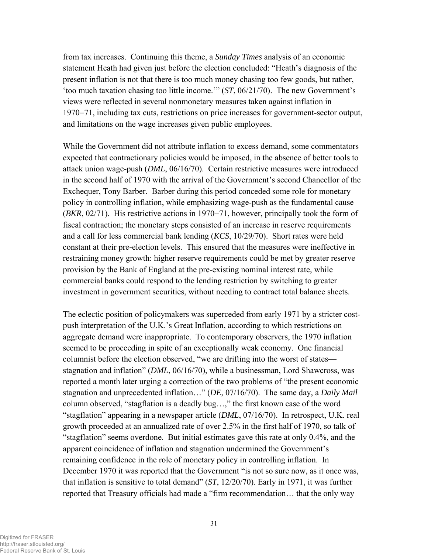from tax increases. Continuing this theme, a *Sunday Times* analysis of an economic statement Heath had given just before the election concluded: "Heath's diagnosis of the present inflation is not that there is too much money chasing too few goods, but rather, 'too much taxation chasing too little income.'" (*ST*, 06/21/70). The new Government's views were reflected in several nonmonetary measures taken against inflation in 1970−71, including tax cuts, restrictions on price increases for government-sector output, and limitations on the wage increases given public employees.

While the Government did not attribute inflation to excess demand, some commentators expected that contractionary policies would be imposed, in the absence of better tools to attack union wage-push (*DML*, 06/16/70). Certain restrictive measures were introduced in the second half of 1970 with the arrival of the Government's second Chancellor of the Exchequer, Tony Barber. Barber during this period conceded some role for monetary policy in controlling inflation, while emphasizing wage-push as the fundamental cause (*BKR*, 02/71). His restrictive actions in 1970−71, however, principally took the form of fiscal contraction; the monetary steps consisted of an increase in reserve requirements and a call for less commercial bank lending (*KCS*, 10/29/70). Short rates were held constant at their pre-election levels. This ensured that the measures were ineffective in restraining money growth: higher reserve requirements could be met by greater reserve provision by the Bank of England at the pre-existing nominal interest rate, while commercial banks could respond to the lending restriction by switching to greater investment in government securities, without needing to contract total balance sheets.

The eclectic position of policymakers was superceded from early 1971 by a stricter costpush interpretation of the U.K.'s Great Inflation, according to which restrictions on aggregate demand were inappropriate. To contemporary observers, the 1970 inflation seemed to be proceeding in spite of an exceptionally weak economy. One financial columnist before the election observed, "we are drifting into the worst of states stagnation and inflation" (*DML*, 06/16/70), while a businessman, Lord Shawcross, was reported a month later urging a correction of the two problems of "the present economic stagnation and unprecedented inflation…" (*DE*, 07/16/70). The same day, a *Daily Mail* column observed, "stagflation is a deadly bug…," the first known case of the word "stagflation" appearing in a newspaper article (*DML*, 07/16/70). In retrospect, U.K. real growth proceeded at an annualized rate of over 2.5% in the first half of 1970, so talk of "stagflation" seems overdone. But initial estimates gave this rate at only 0.4%, and the apparent coincidence of inflation and stagnation undermined the Government's remaining confidence in the role of monetary policy in controlling inflation. In December 1970 it was reported that the Government "is not so sure now, as it once was, that inflation is sensitive to total demand" (*ST*, 12/20/70). Early in 1971, it was further reported that Treasury officials had made a "firm recommendation… that the only way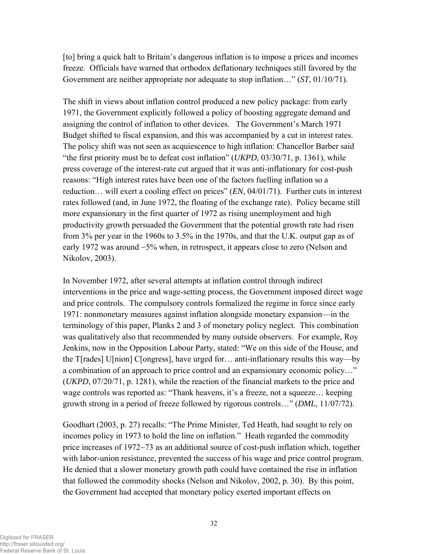[to] bring a quick halt to Britain's dangerous inflation is to impose a prices and incomes freeze. Officials have warned that orthodox deflationary techniques still favored by the Government are neither appropriate nor adequate to stop inflation…" (*ST*, 01/10/71).

The shift in views about inflation control produced a new policy package: from early 1971, the Government explicitly followed a policy of boosting aggregate demand and assigning the control of inflation to other devices. The Government's March 1971 Budget shifted to fiscal expansion, and this was accompanied by a cut in interest rates. The policy shift was not seen as acquiescence to high inflation: Chancellor Barber said "the first priority must be to defeat cost inflation" (*UKPD*, 03/30/71, p. 1361), while press coverage of the interest-rate cut argued that it was anti-inflationary for cost-push reasons: "High interest rates have been one of the factors fuelling inflation so a reduction… will exert a cooling effect on prices" (*EN*, 04/01/71). Further cuts in interest rates followed (and, in June 1972, the floating of the exchange rate). Policy became still more expansionary in the first quarter of 1972 as rising unemployment and high productivity growth persuaded the Government that the potential growth rate had risen from 3% per year in the 1960s to 3.5% in the 1970s, and that the U.K. output gap as of early 1972 was around −5% when, in retrospect, it appears close to zero (Nelson and Nikolov, 2003).

In November 1972, after several attempts at inflation control through indirect interventions in the price and wage-setting process, the Government imposed direct wage and price controls. The compulsory controls formalized the regime in force since early 1971: nonmonetary measures against inflation alongside monetary expansion—in the terminology of this paper, Planks 2 and 3 of monetary policy neglect. This combination was qualitatively also that recommended by many outside observers. For example, Roy Jenkins, now in the Opposition Labour Party, stated: "We on this side of the House, and the T[rades] U[nion] C[ongress], have urged for… anti-inflationary results this way—by a combination of an approach to price control and an expansionary economic policy…" (*UKPD*, 07/20/71, p. 1281), while the reaction of the financial markets to the price and wage controls was reported as: "Thank heavens, it's a freeze, not a squeeze… keeping growth strong in a period of freeze followed by rigorous controls…" (*DML*, 11/07/72).

Goodhart (2003, p. 27) recalls: "The Prime Minister, Ted Heath, had sought to rely on incomes policy in 1973 to hold the line on inflation." Heath regarded the commodity price increases of 1972−73 as an additional source of cost-push inflation which, together with labor-union resistance, prevented the success of his wage and price control program. He denied that a slower monetary growth path could have contained the rise in inflation that followed the commodity shocks (Nelson and Nikolov, 2002, p. 30). By this point, the Government had accepted that monetary policy exerted important effects on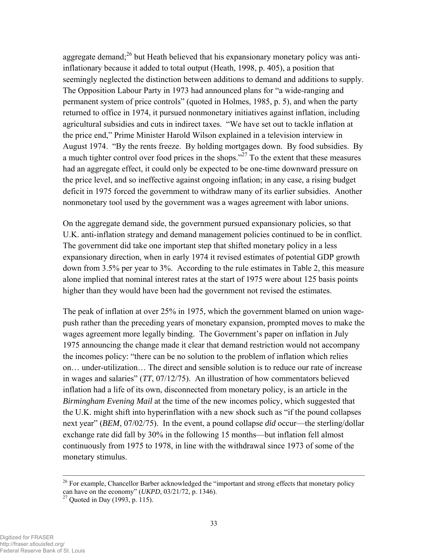aggregate demand; $^{26}$  but Heath believed that his expansionary monetary policy was antiinflationary because it added to total output (Heath, 1998, p. 405), a position that seemingly neglected the distinction between additions to demand and additions to supply. The Opposition Labour Party in 1973 had announced plans for "a wide-ranging and permanent system of price controls" (quoted in Holmes, 1985, p. 5), and when the party returned to office in 1974, it pursued nonmonetary initiatives against inflation, including agricultural subsidies and cuts in indirect taxes. "We have set out to tackle inflation at the price end," Prime Minister Harold Wilson explained in a television interview in August 1974. "By the rents freeze. By holding mortgages down. By food subsidies. By a much tighter control over food prices in the shops."27 To the extent that these measures had an aggregate effect, it could only be expected to be one-time downward pressure on the price level, and so ineffective against ongoing inflation; in any case, a rising budget deficit in 1975 forced the government to withdraw many of its earlier subsidies. Another nonmonetary tool used by the government was a wages agreement with labor unions.

On the aggregate demand side, the government pursued expansionary policies, so that U.K. anti-inflation strategy and demand management policies continued to be in conflict. The government did take one important step that shifted monetary policy in a less expansionary direction, when in early 1974 it revised estimates of potential GDP growth down from 3.5% per year to 3%. According to the rule estimates in Table 2, this measure alone implied that nominal interest rates at the start of 1975 were about 125 basis points higher than they would have been had the government not revised the estimates.

The peak of inflation at over 25% in 1975, which the government blamed on union wagepush rather than the preceding years of monetary expansion, prompted moves to make the wages agreement more legally binding. The Government's paper on inflation in July 1975 announcing the change made it clear that demand restriction would not accompany the incomes policy: "there can be no solution to the problem of inflation which relies on… under-utilization… The direct and sensible solution is to reduce our rate of increase in wages and salaries" (*TT*, 07/12/75). An illustration of how commentators believed inflation had a life of its own, disconnected from monetary policy, is an article in the *Birmingham Evening Mail* at the time of the new incomes policy, which suggested that the U.K. might shift into hyperinflation with a new shock such as "if the pound collapses next year" (*BEM*, 07/02/75). In the event, a pound collapse *did* occur—the sterling/dollar exchange rate did fall by 30% in the following 15 months—but inflation fell almost continuously from 1975 to 1978, in line with the withdrawal since 1973 of some of the monetary stimulus.

 $26$  For example, Chancellor Barber acknowledged the "important and strong effects that monetary policy can have on the economy" (*UKPD*, 03/21/72, p. 1346).<sup>27</sup> Quoted in Day (1993, p. 115).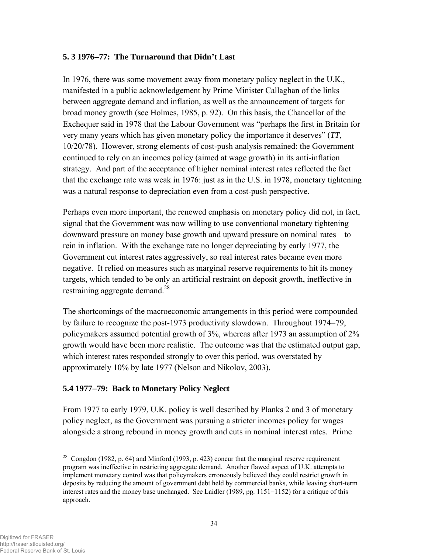# **5. 3 1976**−**77: The Turnaround that Didn't Last**

In 1976, there was some movement away from monetary policy neglect in the U.K., manifested in a public acknowledgement by Prime Minister Callaghan of the links between aggregate demand and inflation, as well as the announcement of targets for broad money growth (see Holmes, 1985, p. 92). On this basis, the Chancellor of the Exchequer said in 1978 that the Labour Government was "perhaps the first in Britain for very many years which has given monetary policy the importance it deserves" (*TT*, 10/20/78). However, strong elements of cost-push analysis remained: the Government continued to rely on an incomes policy (aimed at wage growth) in its anti-inflation strategy. And part of the acceptance of higher nominal interest rates reflected the fact that the exchange rate was weak in 1976: just as in the U.S. in 1978, monetary tightening was a natural response to depreciation even from a cost-push perspective.

Perhaps even more important, the renewed emphasis on monetary policy did not, in fact, signal that the Government was now willing to use conventional monetary tightening downward pressure on money base growth and upward pressure on nominal rates—to rein in inflation. With the exchange rate no longer depreciating by early 1977, the Government cut interest rates aggressively, so real interest rates became even more negative. It relied on measures such as marginal reserve requirements to hit its money targets, which tended to be only an artificial restraint on deposit growth, ineffective in restraining aggregate demand.<sup>28</sup>

The shortcomings of the macroeconomic arrangements in this period were compounded by failure to recognize the post-1973 productivity slowdown. Throughout 1974−79, policymakers assumed potential growth of 3%, whereas after 1973 an assumption of 2% growth would have been more realistic. The outcome was that the estimated output gap, which interest rates responded strongly to over this period, was overstated by approximately 10% by late 1977 (Nelson and Nikolov, 2003).

# **5.4 1977**−**79: Back to Monetary Policy Neglect**

From 1977 to early 1979, U.K. policy is well described by Planks 2 and 3 of monetary policy neglect, as the Government was pursuing a stricter incomes policy for wages alongside a strong rebound in money growth and cuts in nominal interest rates. Prime

 $\overline{\phantom{a}}$  , and the contract of the contract of the contract of  $\overline{\phantom{a}}$ 

<sup>&</sup>lt;sup>28</sup> Congdon (1982, p. 64) and Minford (1993, p. 423) concur that the marginal reserve requirement program was ineffective in restricting aggregate demand. Another flawed aspect of U.K. attempts to implement monetary control was that policymakers erroneously believed they could restrict growth in deposits by reducing the amount of government debt held by commercial banks, while leaving short-term interest rates and the money base unchanged. See Laidler (1989, pp. 1151−1152) for a critique of this approach.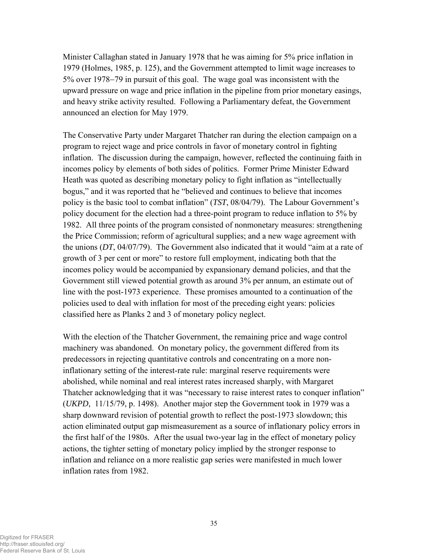Minister Callaghan stated in January 1978 that he was aiming for 5% price inflation in 1979 (Holmes, 1985, p. 125), and the Government attempted to limit wage increases to 5% over 1978−79 in pursuit of this goal. The wage goal was inconsistent with the upward pressure on wage and price inflation in the pipeline from prior monetary easings, and heavy strike activity resulted. Following a Parliamentary defeat, the Government announced an election for May 1979.

The Conservative Party under Margaret Thatcher ran during the election campaign on a program to reject wage and price controls in favor of monetary control in fighting inflation. The discussion during the campaign, however, reflected the continuing faith in incomes policy by elements of both sides of politics. Former Prime Minister Edward Heath was quoted as describing monetary policy to fight inflation as "intellectually bogus," and it was reported that he "believed and continues to believe that incomes policy is the basic tool to combat inflation" (*TST*, 08/04/79). The Labour Government's policy document for the election had a three-point program to reduce inflation to 5% by 1982. All three points of the program consisted of nonmonetary measures: strengthening the Price Commission; reform of agricultural supplies; and a new wage agreement with the unions (*DT*, 04/07/79). The Government also indicated that it would "aim at a rate of growth of 3 per cent or more" to restore full employment, indicating both that the incomes policy would be accompanied by expansionary demand policies, and that the Government still viewed potential growth as around 3% per annum, an estimate out of line with the post-1973 experience. These promises amounted to a continuation of the policies used to deal with inflation for most of the preceding eight years: policies classified here as Planks 2 and 3 of monetary policy neglect.

With the election of the Thatcher Government, the remaining price and wage control machinery was abandoned. On monetary policy, the government differed from its predecessors in rejecting quantitative controls and concentrating on a more noninflationary setting of the interest-rate rule: marginal reserve requirements were abolished, while nominal and real interest rates increased sharply, with Margaret Thatcher acknowledging that it was "necessary to raise interest rates to conquer inflation" (*UKPD*, 11/15/79, p. 1498). Another major step the Government took in 1979 was a sharp downward revision of potential growth to reflect the post-1973 slowdown; this action eliminated output gap mismeasurement as a source of inflationary policy errors in the first half of the 1980s. After the usual two-year lag in the effect of monetary policy actions, the tighter setting of monetary policy implied by the stronger response to inflation and reliance on a more realistic gap series were manifested in much lower inflation rates from 1982.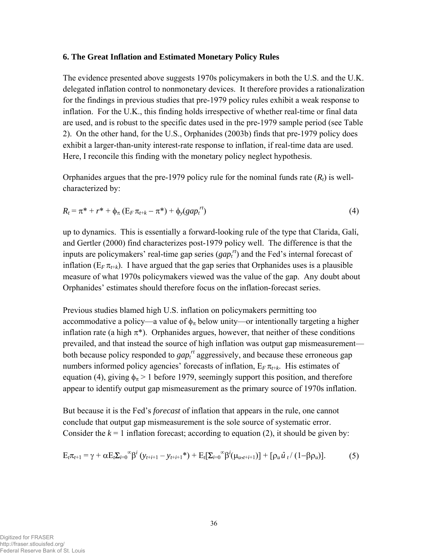### **6. The Great Inflation and Estimated Monetary Policy Rules**

The evidence presented above suggests 1970s policymakers in both the U.S. and the U.K. delegated inflation control to nonmonetary devices. It therefore provides a rationalization for the findings in previous studies that pre-1979 policy rules exhibit a weak response to inflation. For the U.K., this finding holds irrespective of whether real-time or final data are used, and is robust to the specific dates used in the pre-1979 sample period (see Table 2). On the other hand, for the U.S., Orphanides (2003b) finds that pre-1979 policy does exhibit a larger-than-unity interest-rate response to inflation, if real-time data are used. Here, I reconcile this finding with the monetary policy neglect hypothesis.

Orphanides argues that the pre-1979 policy rule for the nominal funds rate  $(R_t)$  is wellcharacterized by:

$$
R_t = \pi^* + r^* + \phi_\pi (E_F \pi_{t+k} - \pi^*) + \phi_y (gap_t^{rt})
$$
\n(4)

up to dynamics. This is essentially a forward-looking rule of the type that Clarida, Galí, and Gertler (2000) find characterizes post-1979 policy well. The difference is that the inputs are policymakers' real-time gap series (*gap<sub>t</sub>*<sup>*rt*</sup>) and the Fed's internal forecast of inflation  $(E_F \pi_{t+k})$ . I have argued that the gap series that Orphanides uses is a plausible measure of what 1970s policymakers viewed was the value of the gap. Any doubt about Orphanides' estimates should therefore focus on the inflation-forecast series.

Previous studies blamed high U.S. inflation on policymakers permitting too accommodative a policy—a value of  $\phi_{\pi}$  below unity—or intentionally targeting a higher inflation rate (a high  $\pi^*$ ). Orphanides argues, however, that neither of these conditions prevailed, and that instead the source of high inflation was output gap mismeasurement both because policy responded to *gap*<sup>*rt*</sup> aggressively, and because these erroneous gap numbers informed policy agencies' forecasts of inflation,  $E_F \pi_{t+k}$ . His estimates of equation (4), giving  $\phi_{\pi} > 1$  before 1979, seemingly support this position, and therefore appear to identify output gap mismeasurement as the primary source of 1970s inflation.

But because it is the Fed's *forecast* of inflation that appears in the rule, one cannot conclude that output gap mismeasurement is the sole source of systematic error. Consider the  $k = 1$  inflation forecast; according to equation (2), it should be given by:

$$
E_{t}\pi_{t+1} = \gamma + \alpha E_{t}\Sigma_{i=0}^{\infty} \beta^{i} \left( y_{t+i+1} - y_{t+i+1}^{*} \right) + E_{t}[\Sigma_{i=0}^{\infty} \beta^{i} (\mu_{u,t+i+1})] + [\rho_{u} \hat{u}_{t} / (1 - \beta \rho_{u})].
$$
 (5)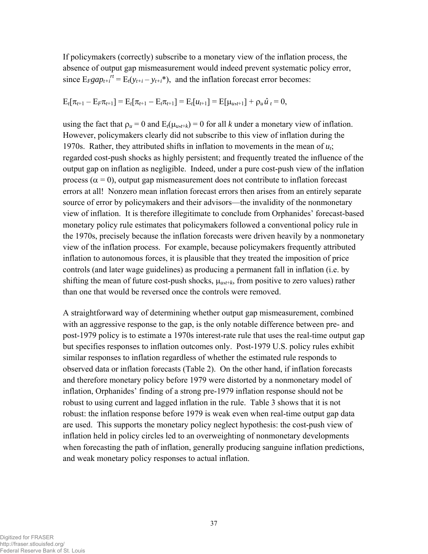If policymakers (correctly) subscribe to a monetary view of the inflation process, the absence of output gap mismeasurement would indeed prevent systematic policy error, since  $E_{F}gap_{t+i}^{rt} = E_{t}(y_{t+i} - y_{t+i}^*)$ , and the inflation forecast error becomes:

$$
E_t[\pi_{t+1} - E_F \pi_{t+1}] = E_t[\pi_{t+1} - E_t \pi_{t+1}] = E_t[u_{t+1}] = E[\mu_{u,t+1}] + \rho_u \hat{u}_t = 0,
$$

using the fact that  $\rho_u = 0$  and  $E_t(\mu_{u}$ ,*t*+*k*) = 0 for all *k* under a monetary view of inflation. However, policymakers clearly did not subscribe to this view of inflation during the 1970s. Rather, they attributed shifts in inflation to movements in the mean of *ut*; regarded cost-push shocks as highly persistent; and frequently treated the influence of the output gap on inflation as negligible. Indeed, under a pure cost-push view of the inflation process ( $\alpha = 0$ ), output gap mismeasurement does not contribute to inflation forecast errors at all! Nonzero mean inflation forecast errors then arises from an entirely separate source of error by policymakers and their advisors—the invalidity of the nonmonetary view of inflation. It is therefore illegitimate to conclude from Orphanides' forecast-based monetary policy rule estimates that policymakers followed a conventional policy rule in the 1970s, precisely because the inflation forecasts were driven heavily by a nonmonetary view of the inflation process. For example, because policymakers frequently attributed inflation to autonomous forces, it is plausible that they treated the imposition of price controls (and later wage guidelines) as producing a permanent fall in inflation (i.e. by shifting the mean of future cost-push shocks,  $\mu_{u,t+k}$ , from positive to zero values) rather than one that would be reversed once the controls were removed.

A straightforward way of determining whether output gap mismeasurement, combined with an aggressive response to the gap, is the only notable difference between pre- and post-1979 policy is to estimate a 1970s interest-rate rule that uses the real-time output gap but specifies responses to inflation outcomes only. Post-1979 U.S. policy rules exhibit similar responses to inflation regardless of whether the estimated rule responds to observed data or inflation forecasts (Table 2). On the other hand, if inflation forecasts and therefore monetary policy before 1979 were distorted by a nonmonetary model of inflation, Orphanides' finding of a strong pre-1979 inflation response should not be robust to using current and lagged inflation in the rule. Table 3 shows that it is not robust: the inflation response before 1979 is weak even when real-time output gap data are used. This supports the monetary policy neglect hypothesis: the cost-push view of inflation held in policy circles led to an overweighting of nonmonetary developments when forecasting the path of inflation, generally producing sanguine inflation predictions, and weak monetary policy responses to actual inflation.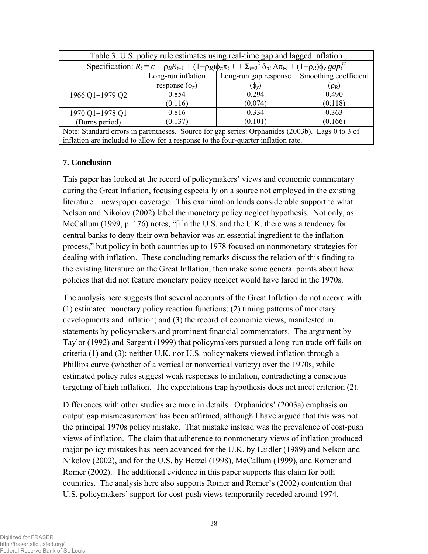| Table 3. U.S. policy rule estimates using real-time gap and lagged inflation                                                                          |                         |                       |                       |  |  |
|-------------------------------------------------------------------------------------------------------------------------------------------------------|-------------------------|-----------------------|-----------------------|--|--|
| Specification: $R_t = c + \rho_R R_{t-1} + (1-\rho_R)\phi_\pi \pi_t + \Sigma_{i=0}^2 \delta_{\pi i} \Delta \pi_{t-i} + (1-\rho_R)\phi_\nu gap_t^{rt}$ |                         |                       |                       |  |  |
|                                                                                                                                                       | Long-run inflation      | Long-run gap response | Smoothing coefficient |  |  |
|                                                                                                                                                       | response $(\phi_{\pi})$ | $(\phi_v)$            | $(\rho_R)$            |  |  |
| 1966 Q1-1979 Q2                                                                                                                                       | 0.854                   | 0.294                 | 0.490                 |  |  |
|                                                                                                                                                       | (0.116)                 | (0.074)               | (0.118)               |  |  |
| 1970 Q1-1978 Q1                                                                                                                                       | 0.816                   | 0.334                 | 0.363                 |  |  |
| (Burns period)                                                                                                                                        | (0.137)                 | (0.101)               | (0.166)               |  |  |
| Note: Standard errors in parentheses. Source for gap series: Orphanides (2003b). Lags 0 to 3 of                                                       |                         |                       |                       |  |  |
| inflation are included to allow for a response to the four-quarter inflation rate.                                                                    |                         |                       |                       |  |  |

# **7. Conclusion**

This paper has looked at the record of policymakers' views and economic commentary during the Great Inflation, focusing especially on a source not employed in the existing literature—newspaper coverage. This examination lends considerable support to what Nelson and Nikolov (2002) label the monetary policy neglect hypothesis. Not only, as McCallum (1999, p. 176) notes, "[i]n the U.S. and the U.K. there was a tendency for central banks to deny their own behavior was an essential ingredient to the inflation process," but policy in both countries up to 1978 focused on nonmonetary strategies for dealing with inflation. These concluding remarks discuss the relation of this finding to the existing literature on the Great Inflation, then make some general points about how policies that did not feature monetary policy neglect would have fared in the 1970s.

The analysis here suggests that several accounts of the Great Inflation do not accord with: (1) estimated monetary policy reaction functions; (2) timing patterns of monetary developments and inflation; and (3) the record of economic views, manifested in statements by policymakers and prominent financial commentators. The argument by Taylor (1992) and Sargent (1999) that policymakers pursued a long-run trade-off fails on criteria (1) and (3): neither U.K. nor U.S. policymakers viewed inflation through a Phillips curve (whether of a vertical or nonvertical variety) over the 1970s, while estimated policy rules suggest weak responses to inflation, contradicting a conscious targeting of high inflation. The expectations trap hypothesis does not meet criterion (2).

Differences with other studies are more in details. Orphanides' (2003a) emphasis on output gap mismeasurement has been affirmed, although I have argued that this was not the principal 1970s policy mistake. That mistake instead was the prevalence of cost-push views of inflation. The claim that adherence to nonmonetary views of inflation produced major policy mistakes has been advanced for the U.K. by Laidler (1989) and Nelson and Nikolov (2002), and for the U.S. by Hetzel (1998), McCallum (1999), and Romer and Romer (2002). The additional evidence in this paper supports this claim for both countries. The analysis here also supports Romer and Romer's (2002) contention that U.S. policymakers' support for cost-push views temporarily receded around 1974.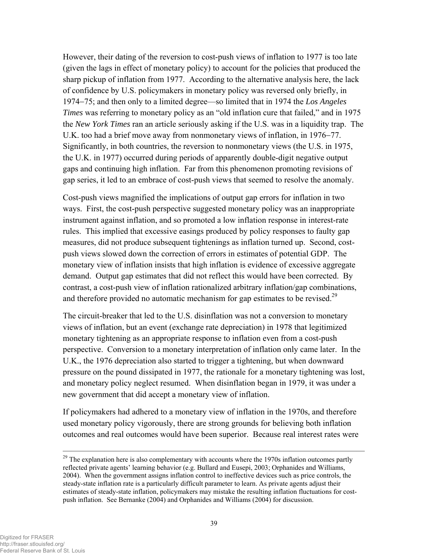However, their dating of the reversion to cost-push views of inflation to 1977 is too late (given the lags in effect of monetary policy) to account for the policies that produced the sharp pickup of inflation from 1977. According to the alternative analysis here, the lack of confidence by U.S. policymakers in monetary policy was reversed only briefly, in 1974−75; and then only to a limited degree—so limited that in 1974 the *Los Angeles Times* was referring to monetary policy as an "old inflation cure that failed," and in 1975 the *New York Times* ran an article seriously asking if the U.S. was in a liquidity trap. The U.K. too had a brief move away from nonmonetary views of inflation, in 1976−77. Significantly, in both countries, the reversion to nonmonetary views (the U.S. in 1975, the U.K. in 1977) occurred during periods of apparently double-digit negative output gaps and continuing high inflation. Far from this phenomenon promoting revisions of gap series, it led to an embrace of cost-push views that seemed to resolve the anomaly.

Cost-push views magnified the implications of output gap errors for inflation in two ways. First, the cost-push perspective suggested monetary policy was an inappropriate instrument against inflation, and so promoted a low inflation response in interest-rate rules. This implied that excessive easings produced by policy responses to faulty gap measures, did not produce subsequent tightenings as inflation turned up. Second, costpush views slowed down the correction of errors in estimates of potential GDP. The monetary view of inflation insists that high inflation is evidence of excessive aggregate demand. Output gap estimates that did not reflect this would have been corrected. By contrast, a cost-push view of inflation rationalized arbitrary inflation/gap combinations, and therefore provided no automatic mechanism for gap estimates to be revised.<sup>29</sup>

The circuit-breaker that led to the U.S. disinflation was not a conversion to monetary views of inflation, but an event (exchange rate depreciation) in 1978 that legitimized monetary tightening as an appropriate response to inflation even from a cost-push perspective. Conversion to a monetary interpretation of inflation only came later. In the U.K., the 1976 depreciation also started to trigger a tightening, but when downward pressure on the pound dissipated in 1977, the rationale for a monetary tightening was lost, and monetary policy neglect resumed. When disinflation began in 1979, it was under a new government that did accept a monetary view of inflation.

If policymakers had adhered to a monetary view of inflation in the 1970s, and therefore used monetary policy vigorously, there are strong grounds for believing both inflation outcomes and real outcomes would have been superior. Because real interest rates were

 $29$  The explanation here is also complementary with accounts where the 1970s inflation outcomes partly reflected private agents' learning behavior (e.g. Bullard and Eusepi, 2003; Orphanides and Williams, 2004). When the government assigns inflation control to ineffective devices such as price controls, the steady-state inflation rate is a particularly difficult parameter to learn. As private agents adjust their estimates of steady-state inflation, policymakers may mistake the resulting inflation fluctuations for costpush inflation. See Bernanke (2004) and Orphanides and Williams (2004) for discussion.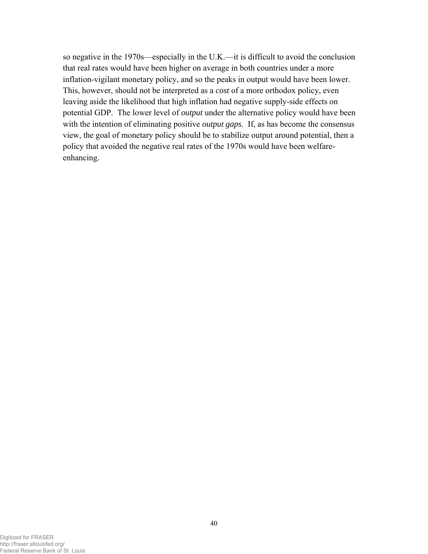so negative in the 1970s—especially in the U.K.—it is difficult to avoid the conclusion that real rates would have been higher on average in both countries under a more inflation-vigilant monetary policy, and so the peaks in output would have been lower. This, however, should not be interpreted as a *cost* of a more orthodox policy, even leaving aside the likelihood that high inflation had negative supply-side effects on potential GDP. The lower level of *output* under the alternative policy would have been with the intention of eliminating positive *output gaps*. If, as has become the consensus view, the goal of monetary policy should be to stabilize output around potential, then a policy that avoided the negative real rates of the 1970s would have been welfareenhancing.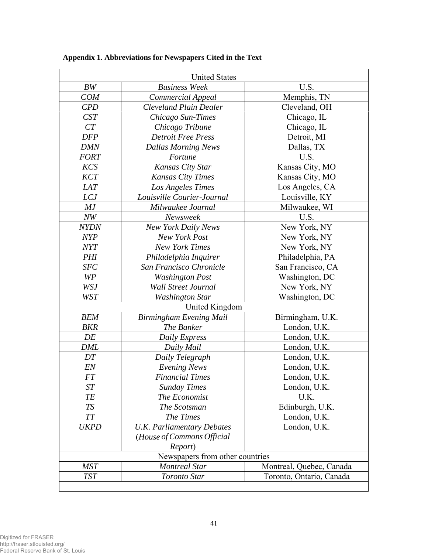|             | <b>United States</b>              |                          |  |  |  |  |
|-------------|-----------------------------------|--------------------------|--|--|--|--|
| BW          | <b>Business Week</b>              | U.S.                     |  |  |  |  |
| <b>COM</b>  | Commercial Appeal                 | Memphis, TN              |  |  |  |  |
| CPD         | <b>Cleveland Plain Dealer</b>     | Cleveland, OH            |  |  |  |  |
| <b>CST</b>  | Chicago Sun-Times                 | Chicago, IL              |  |  |  |  |
| CT          | Chicago Tribune                   | Chicago, IL              |  |  |  |  |
| <b>DFP</b>  | <b>Detroit Free Press</b>         | Detroit, MI              |  |  |  |  |
| <b>DMN</b>  | <b>Dallas Morning News</b>        | Dallas, TX               |  |  |  |  |
| <b>FORT</b> | Fortune                           | U.S.                     |  |  |  |  |
| KCS         | Kansas City Star                  | Kansas City, MO          |  |  |  |  |
| <b>KCT</b>  | <b>Kansas City Times</b>          | Kansas City, MO          |  |  |  |  |
| <b>LAT</b>  | Los Angeles Times                 | Los Angeles, CA          |  |  |  |  |
| <b>LCJ</b>  | Louisville Courier-Journal        | Louisville, KY           |  |  |  |  |
| MJ          | Milwaukee Journal                 | Milwaukee, WI            |  |  |  |  |
| $N\!W$      | Newsweek                          | U.S.                     |  |  |  |  |
| <b>NYDN</b> | <b>New York Daily News</b>        | New York, NY             |  |  |  |  |
| <b>NYP</b>  | New York Post                     | New York, NY             |  |  |  |  |
| NYT         | <b>New York Times</b>             | New York, NY             |  |  |  |  |
| <b>PHI</b>  | Philadelphia Inquirer             | Philadelphia, PA         |  |  |  |  |
| <b>SFC</b>  | San Francisco Chronicle           | San Francisco, CA        |  |  |  |  |
| WP          | <b>Washington Post</b>            | Washington, DC           |  |  |  |  |
| <b>WSJ</b>  | <b>Wall Street Journal</b>        | New York, NY             |  |  |  |  |
| <b>WST</b>  | <b>Washington Star</b>            | Washington, DC           |  |  |  |  |
|             | United Kingdom                    |                          |  |  |  |  |
| <b>BEM</b>  | Birmingham Evening Mail           | Birmingham, U.K.         |  |  |  |  |
| BKR         | The Banker                        | London, U.K.             |  |  |  |  |
| DE          | Daily Express                     | London, U.K.             |  |  |  |  |
| <b>DML</b>  | Daily Mail                        | London, U.K.             |  |  |  |  |
| DT          | Daily Telegraph                   | London, U.K.             |  |  |  |  |
| EN          | <b>Evening News</b>               | London, U.K.             |  |  |  |  |
| <b>FT</b>   | <b>Financial Times</b>            | London, U.K.             |  |  |  |  |
| ST          | <b>Sunday Times</b>               | London, U.K.             |  |  |  |  |
| TE          | The Economist                     | U.K.                     |  |  |  |  |
| <b>TS</b>   | The Scotsman                      | Edinburgh, U.K.          |  |  |  |  |
| $T\!T$      | The Times                         | London, U.K.             |  |  |  |  |
| <b>UKPD</b> | <b>U.K. Parliamentary Debates</b> | London, U.K.             |  |  |  |  |
|             | (House of Commons Official        |                          |  |  |  |  |
|             | Report)                           |                          |  |  |  |  |
|             | Newspapers from other countries   |                          |  |  |  |  |
| <b>MST</b>  | <b>Montreal Star</b>              | Montreal, Quebec, Canada |  |  |  |  |
| <b>TST</b>  | Toronto Star                      | Toronto, Ontario, Canada |  |  |  |  |
|             |                                   |                          |  |  |  |  |

**Appendix 1. Abbreviations for Newspapers Cited in the Text**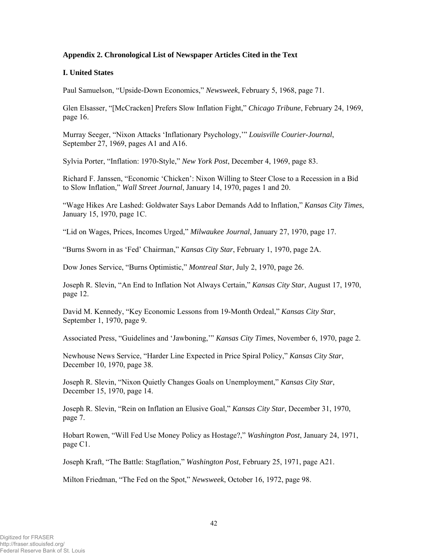#### **Appendix 2. Chronological List of Newspaper Articles Cited in the Text**

#### **I. United States**

Paul Samuelson, "Upside-Down Economics," *Newsweek*, February 5, 1968, page 71.

Glen Elsasser, "[McCracken] Prefers Slow Inflation Fight," *Chicago Tribune*, February 24, 1969, page 16.

Murray Seeger, "Nixon Attacks 'Inflationary Psychology,'" *Louisville Courier-Journal*, September 27, 1969, pages A1 and A16.

Sylvia Porter, "Inflation: 1970-Style," *New York Post*, December 4, 1969, page 83.

Richard F. Janssen, "Economic 'Chicken': Nixon Willing to Steer Close to a Recession in a Bid to Slow Inflation," *Wall Street Journal*, January 14, 1970, pages 1 and 20.

"Wage Hikes Are Lashed: Goldwater Says Labor Demands Add to Inflation," *Kansas City Times*, January 15, 1970, page 1C.

"Lid on Wages, Prices, Incomes Urged," *Milwaukee Journal*, January 27, 1970, page 17.

"Burns Sworn in as 'Fed' Chairman," *Kansas City Star*, February 1, 1970, page 2A.

Dow Jones Service, "Burns Optimistic," *Montreal Star*, July 2, 1970, page 26.

Joseph R. Slevin, "An End to Inflation Not Always Certain," *Kansas City Star*, August 17, 1970, page 12.

David M. Kennedy, "Key Economic Lessons from 19-Month Ordeal," *Kansas City Star*, September 1, 1970, page 9.

Associated Press, "Guidelines and 'Jawboning,'" *Kansas City Times*, November 6, 1970, page 2.

Newhouse News Service, "Harder Line Expected in Price Spiral Policy," *Kansas City Star*, December 10, 1970, page 38.

Joseph R. Slevin, "Nixon Quietly Changes Goals on Unemployment," *Kansas City Star*, December 15, 1970, page 14.

Joseph R. Slevin, "Rein on Inflation an Elusive Goal," *Kansas City Star*, December 31, 1970, page 7.

Hobart Rowen, "Will Fed Use Money Policy as Hostage?," *Washington Post*, January 24, 1971, page C1.

Joseph Kraft, "The Battle: Stagflation," *Washington Post*, February 25, 1971, page A21.

Milton Friedman, "The Fed on the Spot," *Newsweek*, October 16, 1972, page 98.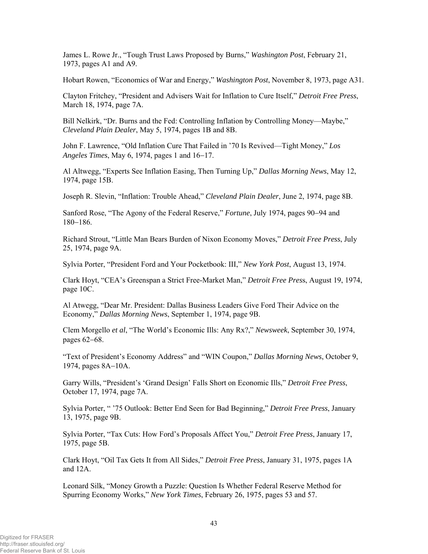James L. Rowe Jr., "Tough Trust Laws Proposed by Burns," *Washington Post*, February 21, 1973, pages A1 and A9.

Hobart Rowen, "Economics of War and Energy," *Washington Post*, November 8, 1973, page A31.

Clayton Fritchey, "President and Advisers Wait for Inflation to Cure Itself," *Detroit Free Press*, March 18, 1974, page 7A.

Bill Nelkirk, "Dr. Burns and the Fed: Controlling Inflation by Controlling Money—Maybe," *Cleveland Plain Dealer*, May 5, 1974, pages 1B and 8B.

John F. Lawrence, "Old Inflation Cure That Failed in '70 Is Revived—Tight Money," *Los Angeles Times*, May 6, 1974, pages 1 and 16−17.

Al Altwegg, "Experts See Inflation Easing, Then Turning Up," *Dallas Morning News*, May 12, 1974, page 15B.

Joseph R. Slevin, "Inflation: Trouble Ahead," *Cleveland Plain Dealer*, June 2, 1974, page 8B.

Sanford Rose, "The Agony of the Federal Reserve," *Fortune*, July 1974, pages 90−94 and 180−186.

Richard Strout, "Little Man Bears Burden of Nixon Economy Moves," *Detroit Free Press*, July 25, 1974, page 9A.

Sylvia Porter, "President Ford and Your Pocketbook: III," *New York Post*, August 13, 1974.

Clark Hoyt, "CEA's Greenspan a Strict Free-Market Man," *Detroit Free Pres*s, August 19, 1974, page 10C.

Al Atwegg, "Dear Mr. President: Dallas Business Leaders Give Ford Their Advice on the Economy," *Dallas Morning News*, September 1, 1974, page 9B.

Clem Morgello *et al*, "The World's Economic Ills: Any Rx?," *Newsweek*, September 30, 1974, pages 62−68.

"Text of President's Economy Address" and "WIN Coupon," *Dallas Morning News*, October 9, 1974, pages 8A−10A.

Garry Wills, "President's 'Grand Design' Falls Short on Economic Ills," *Detroit Free Press*, October 17, 1974, page 7A.

Sylvia Porter, " '75 Outlook: Better End Seen for Bad Beginning," *Detroit Free Press*, January 13, 1975, page 9B.

Sylvia Porter, "Tax Cuts: How Ford's Proposals Affect You," *Detroit Free Press*, January 17, 1975, page 5B.

Clark Hoyt, "Oil Tax Gets It from All Sides," *Detroit Free Press*, January 31, 1975, pages 1A and 12A.

Leonard Silk, "Money Growth a Puzzle: Question Is Whether Federal Reserve Method for Spurring Economy Works," *New York Times*, February 26, 1975, pages 53 and 57.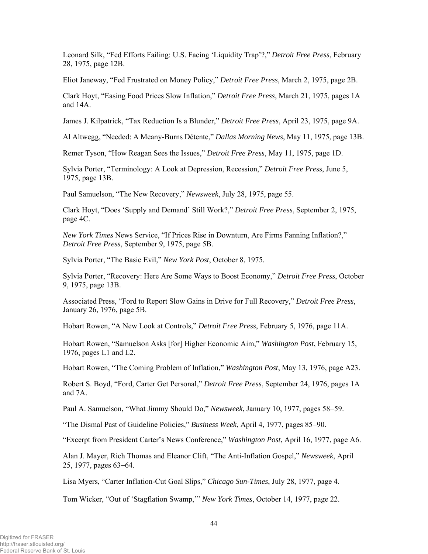Leonard Silk, "Fed Efforts Failing: U.S. Facing 'Liquidity Trap'?," *Detroit Free Press*, February 28, 1975, page 12B.

Eliot Janeway, "Fed Frustrated on Money Policy," *Detroit Free Press*, March 2, 1975, page 2B.

Clark Hoyt, "Easing Food Prices Slow Inflation," *Detroit Free Press*, March 21, 1975, pages 1A and 14A.

James J. Kilpatrick, "Tax Reduction Is a Blunder," *Detroit Free Press*, April 23, 1975, page 9A.

Al Altwegg, "Needed: A Meany-Burns Détente," *Dallas Morning News*, May 11, 1975, page 13B.

Remer Tyson, "How Reagan Sees the Issues," *Detroit Free Press*, May 11, 1975, page 1D.

Sylvia Porter, "Terminology: A Look at Depression, Recession," *Detroit Free Press*, June 5, 1975, page 13B.

Paul Samuelson, "The New Recovery," *Newsweek*, July 28, 1975, page 55.

Clark Hoyt, "Does 'Supply and Demand' Still Work?," *Detroit Free Press*, September 2, 1975, page 4C.

*New York Times* News Service, "If Prices Rise in Downturn, Are Firms Fanning Inflation?," *Detroit Free Press*, September 9, 1975, page 5B.

Sylvia Porter, "The Basic Evil," *New York Post*, October 8, 1975.

Sylvia Porter, "Recovery: Here Are Some Ways to Boost Economy," *Detroit Free Press*, October 9, 1975, page 13B.

Associated Press, "Ford to Report Slow Gains in Drive for Full Recovery," *Detroit Free Press*, January 26, 1976, page 5B.

Hobart Rowen, "A New Look at Controls," *Detroit Free Press*, February 5, 1976, page 11A.

Hobart Rowen, "Samuelson Asks [for] Higher Economic Aim," *Washington Post*, February 15, 1976, pages L1 and L2.

Hobart Rowen, "The Coming Problem of Inflation," *Washington Post*, May 13, 1976, page A23.

Robert S. Boyd, "Ford, Carter Get Personal," *Detroit Free Press*, September 24, 1976, pages 1A and 7A.

Paul A. Samuelson, "What Jimmy Should Do," *Newsweek*, January 10, 1977, pages 58−59.

"The Dismal Past of Guideline Policies," *Business Week*, April 4, 1977, pages 85−90.

"Excerpt from President Carter's News Conference," *Washington Post*, April 16, 1977, page A6.

Alan J. Mayer, Rich Thomas and Eleanor Clift, "The Anti-Inflation Gospel," *Newsweek*, April 25, 1977, pages 63−64.

Lisa Myers, "Carter Inflation-Cut Goal Slips," *Chicago Sun-Times*, July 28, 1977, page 4.

Tom Wicker, "Out of 'Stagflation Swamp,'" *New York Times*, October 14, 1977, page 22.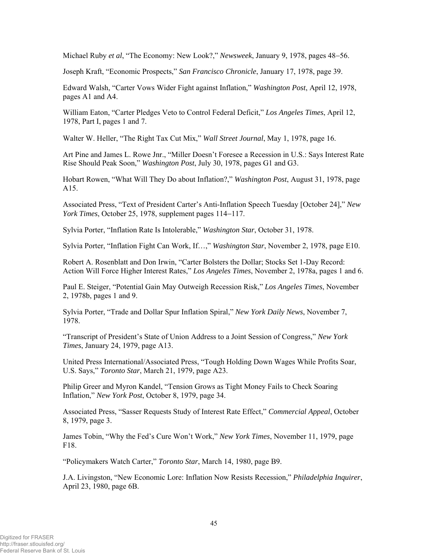Michael Ruby *et al*, "The Economy: New Look?," *Newsweek*, January 9, 1978, pages 48−56.

Joseph Kraft, "Economic Prospects," *San Francisco Chronicle*, January 17, 1978, page 39.

Edward Walsh, "Carter Vows Wider Fight against Inflation," *Washington Post*, April 12, 1978, pages A1 and A4.

William Eaton, "Carter Pledges Veto to Control Federal Deficit," *Los Angeles Times*, April 12, 1978, Part I, pages 1 and 7.

Walter W. Heller, "The Right Tax Cut Mix," *Wall Street Journal*, May 1, 1978, page 16.

Art Pine and James L. Rowe Jnr., "Miller Doesn't Foresee a Recession in U.S.: Says Interest Rate Rise Should Peak Soon," *Washington Post*, July 30, 1978, pages G1 and G3.

Hobart Rowen, "What Will They Do about Inflation?," *Washington Post*, August 31, 1978, page A15.

Associated Press, "Text of President Carter's Anti-Inflation Speech Tuesday [October 24]," *New York Times*, October 25, 1978, supplement pages 114−117.

Sylvia Porter, "Inflation Rate Is Intolerable," *Washington Star*, October 31, 1978.

Sylvia Porter, "Inflation Fight Can Work, If…," *Washington Star*, November 2, 1978, page E10.

Robert A. Rosenblatt and Don Irwin, "Carter Bolsters the Dollar; Stocks Set 1-Day Record: Action Will Force Higher Interest Rates," *Los Angeles Times*, November 2, 1978a, pages 1 and 6.

Paul E. Steiger, "Potential Gain May Outweigh Recession Risk," *Los Angeles Times*, November 2, 1978b, pages 1 and 9.

Sylvia Porter, "Trade and Dollar Spur Inflation Spiral," *New York Daily News*, November 7, 1978.

"Transcript of President's State of Union Address to a Joint Session of Congress," *New York Times*, January 24, 1979, page A13.

United Press International/Associated Press, "Tough Holding Down Wages While Profits Soar, U.S. Says," *Toronto Star*, March 21, 1979, page A23.

Philip Greer and Myron Kandel, "Tension Grows as Tight Money Fails to Check Soaring Inflation," *New York Post*, October 8, 1979, page 34.

Associated Press, "Sasser Requests Study of Interest Rate Effect," *Commercial Appeal*, October 8, 1979, page 3.

James Tobin, "Why the Fed's Cure Won't Work," *New York Times*, November 11, 1979, page F18.

"Policymakers Watch Carter," *Toronto Star*, March 14, 1980, page B9.

J.A. Livingston, "New Economic Lore: Inflation Now Resists Recession," *Philadelphia Inquirer*, April 23, 1980, page 6B.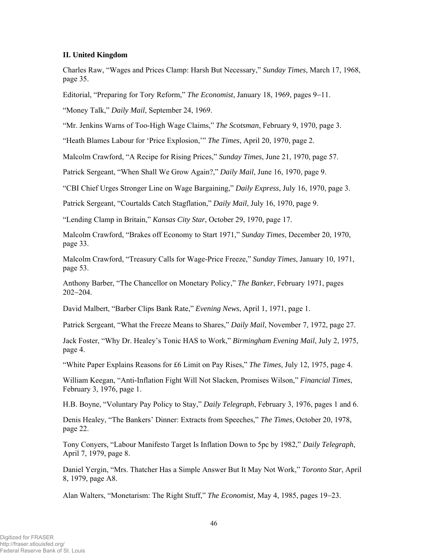#### **II. United Kingdom**

Charles Raw, "Wages and Prices Clamp: Harsh But Necessary," *Sunday Times*, March 17, 1968, page 35.

Editorial, "Preparing for Tory Reform," *The Economist*, January 18, 1969, pages 9−11.

"Money Talk," *Daily Mail*, September 24, 1969.

"Mr. Jenkins Warns of Too-High Wage Claims," *The Scotsman*, February 9, 1970, page 3.

"Heath Blames Labour for 'Price Explosion,'" *The Times*, April 20, 1970, page 2.

Malcolm Crawford, "A Recipe for Rising Prices," *Sunday Times*, June 21, 1970, page 57.

Patrick Sergeant, "When Shall We Grow Again?," *Daily Mail*, June 16, 1970, page 9.

"CBI Chief Urges Stronger Line on Wage Bargaining," *Daily Express*, July 16, 1970, page 3.

Patrick Sergeant, "Courtalds Catch Stagflation," *Daily Mail*, July 16, 1970, page 9.

"Lending Clamp in Britain," *Kansas City Star*, October 29, 1970, page 17.

Malcolm Crawford, "Brakes off Economy to Start 1971," *Sunday Times*, December 20, 1970, page 33.

Malcolm Crawford, "Treasury Calls for Wage-Price Freeze," *Sunday Times*, January 10, 1971, page 53.

Anthony Barber, "The Chancellor on Monetary Policy," *The Banker*, February 1971, pages 202−204.

David Malbert, "Barber Clips Bank Rate," *Evening News*, April 1, 1971, page 1.

Patrick Sergeant, "What the Freeze Means to Shares," *Daily Mail*, November 7, 1972, page 27.

Jack Foster, "Why Dr. Healey's Tonic HAS to Work," *Birmingham Evening Mail*, July 2, 1975, page 4.

"White Paper Explains Reasons for £6 Limit on Pay Rises," *The Times*, July 12, 1975, page 4.

William Keegan, "Anti-Inflation Fight Will Not Slacken, Promises Wilson," *Financial Times*, February 3, 1976, page 1.

H.B. Boyne, "Voluntary Pay Policy to Stay," *Daily Telegraph*, February 3, 1976, pages 1 and 6.

Denis Healey, "The Bankers' Dinner: Extracts from Speeches," *The Times*, October 20, 1978, page 22.

Tony Conyers, "Labour Manifesto Target Is Inflation Down to 5pc by 1982," *Daily Telegraph*, April 7, 1979, page 8.

Daniel Yergin, "Mrs. Thatcher Has a Simple Answer But It May Not Work," *Toronto Star*, April 8, 1979, page A8.

Alan Walters, "Monetarism: The Right Stuff," *The Economist,* May 4, 1985, pages 19−23.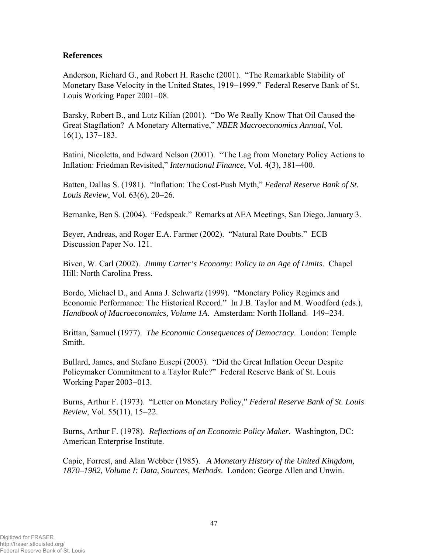# **References**

Anderson, Richard G., and Robert H. Rasche (2001). "The Remarkable Stability of Monetary Base Velocity in the United States, 1919−1999." Federal Reserve Bank of St. Louis Working Paper 2001−08.

Barsky, Robert B., and Lutz Kilian (2001). "Do We Really Know That Oil Caused the Great Stagflation? A Monetary Alternative," *NBER Macroeconomics Annual*, Vol. 16(1), 137−183.

Batini, Nicoletta, and Edward Nelson (2001). "The Lag from Monetary Policy Actions to Inflation: Friedman Revisited," *International Finance*, Vol. 4(3), 381−400.

Batten, Dallas S. (1981). "Inflation: The Cost-Push Myth," *Federal Reserve Bank of St. Louis Review*, Vol. 63(6), 20−26.

Bernanke, Ben S. (2004). "Fedspeak." Remarks at AEA Meetings, San Diego, January 3.

Beyer, Andreas, and Roger E.A. Farmer (2002). "Natural Rate Doubts." ECB Discussion Paper No. 121.

Biven, W. Carl (2002). *Jimmy Carter's Economy: Policy in an Age of Limits*. Chapel Hill: North Carolina Press.

Bordo, Michael D., and Anna J. Schwartz (1999). "Monetary Policy Regimes and Economic Performance: The Historical Record." In J.B. Taylor and M. Woodford (eds.), *Handbook of Macroeconomics, Volume 1A*. Amsterdam: North Holland. 149−234.

Brittan, Samuel (1977). *The Economic Consequences of Democracy*. London: Temple Smith.

Bullard, James, and Stefano Eusepi (2003). "Did the Great Inflation Occur Despite Policymaker Commitment to a Taylor Rule?" Federal Reserve Bank of St. Louis Working Paper 2003−013.

Burns, Arthur F. (1973). "Letter on Monetary Policy," *Federal Reserve Bank of St. Louis Review*, Vol. 55(11), 15−22.

Burns, Arthur F. (1978). *Reflections of an Economic Policy Maker*. Washington, DC: American Enterprise Institute.

Capie, Forrest, and Alan Webber (1985). *A Monetary History of the United Kingdom, 1870–1982, Volume I: Data, Sources, Methods*. London: George Allen and Unwin.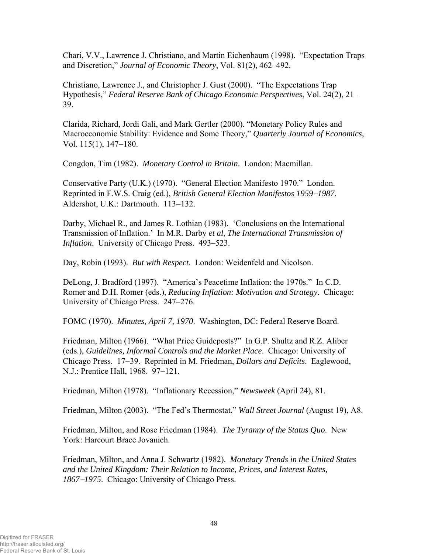Chari, V.V., Lawrence J. Christiano, and Martin Eichenbaum (1998). "Expectation Traps and Discretion," *Journal of Economic Theory*, Vol. 81(2), 462–492.

Christiano, Lawrence J., and Christopher J. Gust (2000). "The Expectations Trap Hypothesis," *Federal Reserve Bank of Chicago Economic Perspectives*, Vol. 24(2), 21– 39.

Clarida, Richard, Jordi Galí, and Mark Gertler (2000). "Monetary Policy Rules and Macroeconomic Stability: Evidence and Some Theory," *Quarterly Journal of Economics*, Vol. 115(1), 147−180.

Congdon, Tim (1982). *Monetary Control in Britain*. London: Macmillan.

Conservative Party (U.K.) (1970). "General Election Manifesto 1970." London. Reprinted in F.W.S. Craig (ed.), *British General Election Manifestos 1959*−*1987*. Aldershot, U.K.: Dartmouth. 113−132.

Darby, Michael R., and James R. Lothian (1983). 'Conclusions on the International Transmission of Inflation.' In M.R. Darby *et al*, *The International Transmission of Inflation*. University of Chicago Press. 493–523.

Day, Robin (1993). *But with Respect*. London: Weidenfeld and Nicolson.

DeLong, J. Bradford (1997). "America's Peacetime Inflation: the 1970s." In C.D. Romer and D.H. Romer (eds.), *Reducing Inflation: Motivation and Strategy*. Chicago: University of Chicago Press. 247–276.

FOMC (1970). *Minutes, April 7, 1970*. Washington, DC: Federal Reserve Board.

Friedman, Milton (1966). "What Price Guideposts?" In G.P. Shultz and R.Z. Aliber (eds.), *Guidelines, Informal Controls and the Market Place*. Chicago: University of Chicago Press. 17−39. Reprinted in M. Friedman, *Dollars and Deficits*. Eaglewood, N.J.: Prentice Hall, 1968. 97−121.

Friedman, Milton (1978). "Inflationary Recession," *Newsweek* (April 24), 81.

Friedman, Milton (2003). "The Fed's Thermostat," *Wall Street Journal* (August 19), A8.

Friedman, Milton, and Rose Friedman (1984). *The Tyranny of the Status Quo*. New York: Harcourt Brace Jovanich.

Friedman, Milton, and Anna J. Schwartz (1982). *Monetary Trends in the United States and the United Kingdom: Their Relation to Income, Prices, and Interest Rates, 1867*−*1975*. Chicago: University of Chicago Press.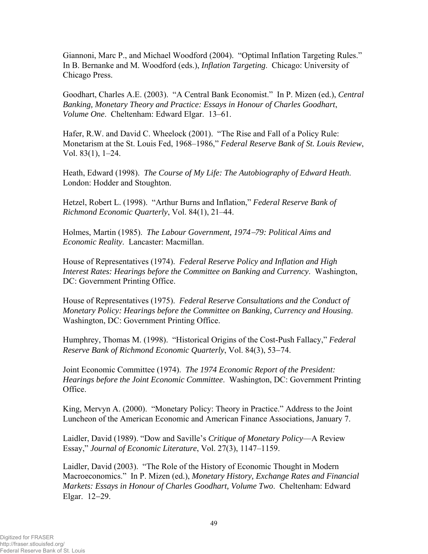Giannoni, Marc P., and Michael Woodford (2004). "Optimal Inflation Targeting Rules." In B. Bernanke and M. Woodford (eds.), *Inflation Targeting*. Chicago: University of Chicago Press.

Goodhart, Charles A.E. (2003). "A Central Bank Economist." In P. Mizen (ed.), *Central Banking, Monetary Theory and Practice: Essays in Honour of Charles Goodhart*, *Volume One*. Cheltenham: Edward Elgar. 13–61.

Hafer, R.W. and David C. Wheelock (2001). "The Rise and Fall of a Policy Rule: Monetarism at the St. Louis Fed, 1968–1986," *Federal Reserve Bank of St. Louis Review*, Vol. 83(1), 1–24.

Heath, Edward (1998). *The Course of My Life: The Autobiography of Edward Heath*. London: Hodder and Stoughton.

Hetzel, Robert L. (1998). "Arthur Burns and Inflation," *Federal Reserve Bank of Richmond Economic Quarterly*, Vol. 84(1), 21–44.

Holmes, Martin (1985). *The Labour Government, 1974*−*79: Political Aims and Economic Reality*. Lancaster: Macmillan.

House of Representatives (1974). *Federal Reserve Policy and Inflation and High Interest Rates: Hearings before the Committee on Banking and Currency*. Washington, DC: Government Printing Office.

House of Representatives (1975). *Federal Reserve Consultations and the Conduct of Monetary Policy: Hearings before the Committee on Banking, Currency and Housing*. Washington, DC: Government Printing Office.

Humphrey, Thomas M. (1998). "Historical Origins of the Cost-Push Fallacy," *Federal Reserve Bank of Richmond Economic Quarterly*, Vol. 84(3), 53−74.

Joint Economic Committee (1974). *The 1974 Economic Report of the President: Hearings before the Joint Economic Committee*. Washington, DC: Government Printing Office.

King, Mervyn A. (2000). "Monetary Policy: Theory in Practice." Address to the Joint Luncheon of the American Economic and American Finance Associations, January 7.

Laidler, David (1989). "Dow and Saville's *Critique of Monetary Policy*—A Review Essay," *Journal of Economic Literature*, Vol. 27(3), 1147–1159.

Laidler, David (2003). "The Role of the History of Economic Thought in Modern Macroeconomics." In P. Mizen (ed.), *Monetary History, Exchange Rates and Financial Markets: Essays in Honour of Charles Goodhart, Volume Two*. Cheltenham: Edward Elgar. 12−29.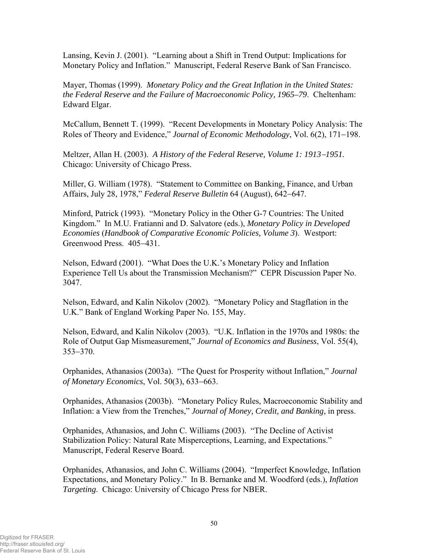Lansing, Kevin J. (2001). "Learning about a Shift in Trend Output: Implications for Monetary Policy and Inflation." Manuscript, Federal Reserve Bank of San Francisco.

Mayer, Thomas (1999). *Monetary Policy and the Great Inflation in the United States: the Federal Reserve and the Failure of Macroeconomic Policy, 1965–79*. Cheltenham: Edward Elgar.

McCallum, Bennett T. (1999). "Recent Developments in Monetary Policy Analysis: The Roles of Theory and Evidence," *Journal of Economic Methodology*, Vol. 6(2), 171−198.

Meltzer, Allan H. (2003). *A History of the Federal Reserve, Volume 1: 1913*−*1951.*  Chicago: University of Chicago Press.

Miller, G. William (1978). "Statement to Committee on Banking, Finance, and Urban Affairs, July 28, 1978," *Federal Reserve Bulletin* 64 (August), 642−647.

Minford, Patrick (1993). "Monetary Policy in the Other G-7 Countries: The United Kingdom." In M.U. Fratianni and D. Salvatore (eds.), *Monetary Policy in Developed Economies* (*Handbook of Comparative Economic Policies, Volume 3*). Westport: Greenwood Press. 405−431.

Nelson, Edward (2001). "What Does the U.K.'s Monetary Policy and Inflation Experience Tell Us about the Transmission Mechanism?" CEPR Discussion Paper No. 3047.

Nelson, Edward, and Kalin Nikolov (2002). "Monetary Policy and Stagflation in the U.K." Bank of England Working Paper No. 155, May.

Nelson, Edward, and Kalin Nikolov (2003). "U.K. Inflation in the 1970s and 1980s: the Role of Output Gap Mismeasurement," *Journal of Economics and Business*, Vol. 55(4), 353−370.

Orphanides, Athanasios (2003a). "The Quest for Prosperity without Inflation," *Journal of Monetary Economics*, Vol. 50(3), 633−663.

Orphanides, Athanasios (2003b). "Monetary Policy Rules, Macroeconomic Stability and Inflation: a View from the Trenches," *Journal of Money, Credit, and Banking*, in press.

Orphanides, Athanasios, and John C. Williams (2003). "The Decline of Activist Stabilization Policy: Natural Rate Misperceptions, Learning, and Expectations." Manuscript, Federal Reserve Board.

Orphanides, Athanasios, and John C. Williams (2004). "Imperfect Knowledge, Inflation Expectations, and Monetary Policy." In B. Bernanke and M. Woodford (eds.), *Inflation Targeting*. Chicago: University of Chicago Press for NBER.